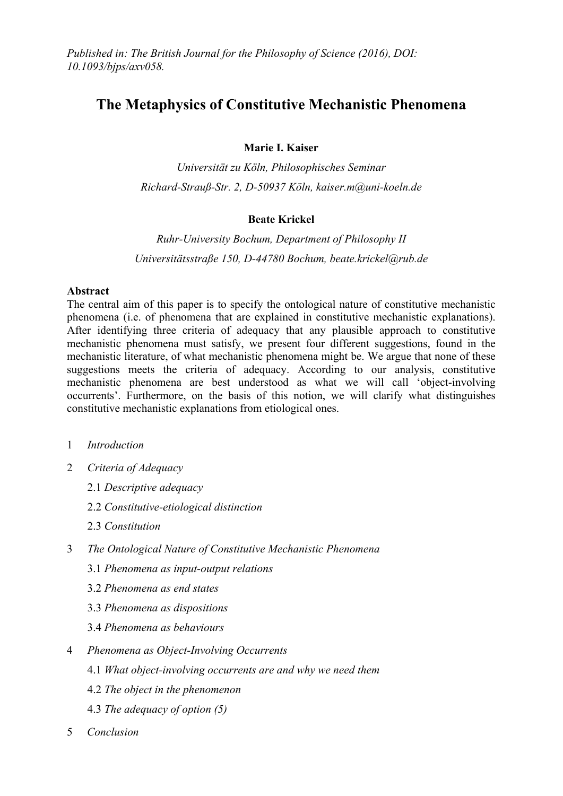*Published in: The British Journal for the Philosophy of Science (2016), DOI: 10.1093/bjps/axv058.* 

# **The Metaphysics of Constitutive Mechanistic Phenomena**

## **Marie I. Kaiser**

*Universität zu Köln, Philosophisches Seminar Richard-Strauß-Str. 2, D-50937 Köln, kaiser.m@uni-koeln.de* 

# **Beate Krickel**

*Ruhr-University Bochum, Department of Philosophy II Universitätsstraße 150, D-44780 Bochum, beate.krickel@rub.de* 

#### **Abstract**

The central aim of this paper is to specify the ontological nature of constitutive mechanistic phenomena (i.e. of phenomena that are explained in constitutive mechanistic explanations). After identifying three criteria of adequacy that any plausible approach to constitutive mechanistic phenomena must satisfy, we present four different suggestions, found in the mechanistic literature, of what mechanistic phenomena might be. We argue that none of these suggestions meets the criteria of adequacy. According to our analysis, constitutive mechanistic phenomena are best understood as what we will call 'object-involving occurrents'. Furthermore, on the basis of this notion, we will clarify what distinguishes constitutive mechanistic explanations from etiological ones.

- 1 *Introduction*
- 2 *Criteria of Adequacy*
	- 2.1 *Descriptive adequacy*
	- 2.2 *Constitutive-etiological distinction*
	- 2.3 *Constitution*
- 3 *The Ontological Nature of Constitutive Mechanistic Phenomena*
	- 3.1 *Phenomena as input-output relations*
	- 3.2 *Phenomena as end states*
	- 3.3 *Phenomena as dispositions*
	- 3.4 *Phenomena as behaviours*
- 4 *Phenomena as Object-Involving Occurrents*
	- 4.1 *What object-involving occurrents are and why we need them*
	- 4.2 *The object in the phenomenon*
	- 4.3 *The adequacy of option (5)*
- 5 *Conclusion*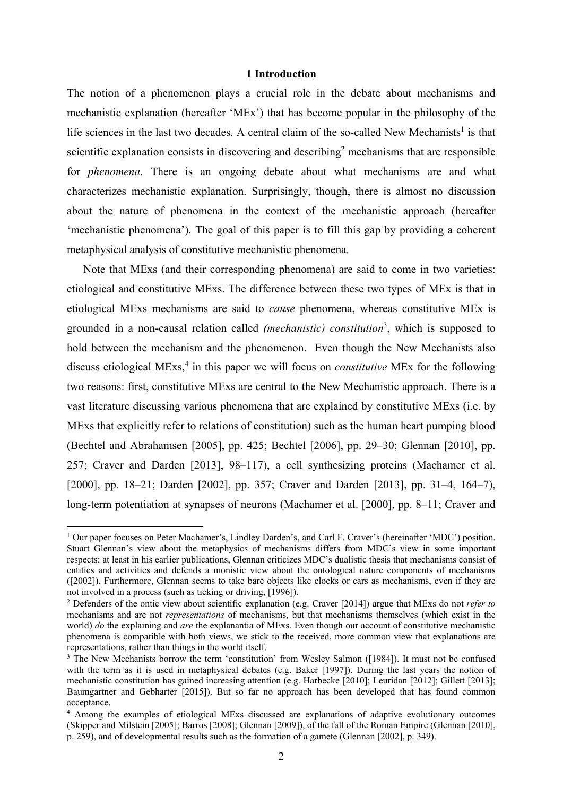#### **1 Introduction**

The notion of a phenomenon plays a crucial role in the debate about mechanisms and mechanistic explanation (hereafter 'MEx') that has become popular in the philosophy of the life sciences in the last two decades. A central claim of the so-called New Mechanists<sup>1</sup> is that scientific explanation consists in discovering and describing<sup>2</sup> mechanisms that are responsible for *phenomena*. There is an ongoing debate about what mechanisms are and what characterizes mechanistic explanation. Surprisingly, though, there is almost no discussion about the nature of phenomena in the context of the mechanistic approach (hereafter 'mechanistic phenomena'). The goal of this paper is to fill this gap by providing a coherent metaphysical analysis of constitutive mechanistic phenomena.

 Note that MExs (and their corresponding phenomena) are said to come in two varieties: etiological and constitutive MExs. The difference between these two types of MEx is that in etiological MExs mechanisms are said to *cause* phenomena, whereas constitutive MEx is grounded in a non-causal relation called *(mechanistic) constitution*<sup>3</sup> , which is supposed to hold between the mechanism and the phenomenon. Even though the New Mechanists also discuss etiological MExs,<sup>4</sup> in this paper we will focus on *constitutive* MEx for the following two reasons: first, constitutive MExs are central to the New Mechanistic approach. There is a vast literature discussing various phenomena that are explained by constitutive MExs (i.e. by MExs that explicitly refer to relations of constitution) such as the human heart pumping blood (Bechtel and Abrahamsen [2005], pp. 425; Bechtel [2006], pp. 29–30; Glennan [2010], pp. 257; Craver and Darden [2013], 98–117), a cell synthesizing proteins (Machamer et al. [2000], pp. 18–21; Darden [2002], pp. 357; Craver and Darden [2013], pp. 31–4, 164–7), long-term potentiation at synapses of neurons (Machamer et al. [2000], pp. 8–11; Craver and

<u>.</u>

<sup>&</sup>lt;sup>1</sup> Our paper focuses on Peter Machamer's, Lindley Darden's, and Carl F. Craver's (hereinafter 'MDC') position. Stuart Glennan's view about the metaphysics of mechanisms differs from MDC's view in some important respects: at least in his earlier publications, Glennan criticizes MDC's dualistic thesis that mechanisms consist of entities and activities and defends a monistic view about the ontological nature components of mechanisms ([2002]). Furthermore, Glennan seems to take bare objects like clocks or cars as mechanisms, even if they are not involved in a process (such as ticking or driving, [1996]).

<sup>2</sup> Defenders of the ontic view about scientific explanation (e.g. Craver [2014]) argue that MExs do not *refer to* mechanisms and are not *representations* of mechanisms, but that mechanisms themselves (which exist in the world) *do* the explaining and *are* the explanantia of MExs. Even though our account of constitutive mechanistic phenomena is compatible with both views, we stick to the received, more common view that explanations are representations, rather than things in the world itself.

<sup>&</sup>lt;sup>3</sup> The New Mechanists borrow the term 'constitution' from Wesley Salmon ([1984]). It must not be confused with the term as it is used in metaphysical debates (e.g. Baker [1997]). During the last years the notion of mechanistic constitution has gained increasing attention (e.g. Harbecke [2010]; Leuridan [2012]; Gillett [2013]; Baumgartner and Gebharter [2015]). But so far no approach has been developed that has found common acceptance.

<sup>4</sup> Among the examples of etiological MExs discussed are explanations of adaptive evolutionary outcomes (Skipper and Milstein [2005]; Barros [2008]; Glennan [2009]), of the fall of the Roman Empire (Glennan [2010], p. 259), and of developmental results such as the formation of a gamete (Glennan [2002], p. 349).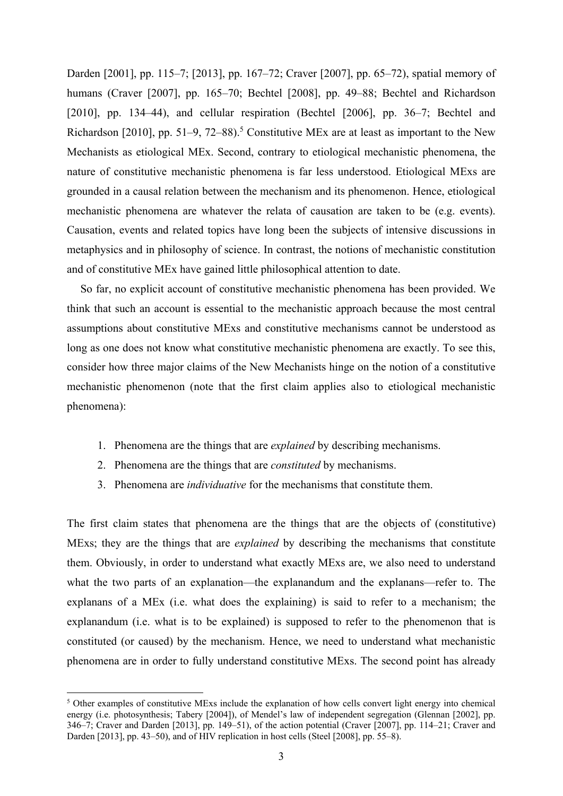Darden [2001], pp. 115–7; [2013], pp. 167–72; Craver [2007], pp. 65–72), spatial memory of humans (Craver [2007], pp. 165–70; Bechtel [2008], pp. 49–88; Bechtel and Richardson [2010], pp. 134–44), and cellular respiration (Bechtel [2006], pp. 36–7; Bechtel and Richardson [2010], pp. 51–9, 72–88).<sup>5</sup> Constitutive MEx are at least as important to the New Mechanists as etiological MEx. Second, contrary to etiological mechanistic phenomena, the nature of constitutive mechanistic phenomena is far less understood. Etiological MExs are grounded in a causal relation between the mechanism and its phenomenon. Hence, etiological mechanistic phenomena are whatever the relata of causation are taken to be (e.g. events). Causation, events and related topics have long been the subjects of intensive discussions in metaphysics and in philosophy of science. In contrast, the notions of mechanistic constitution and of constitutive MEx have gained little philosophical attention to date.

So far, no explicit account of constitutive mechanistic phenomena has been provided. We think that such an account is essential to the mechanistic approach because the most central assumptions about constitutive MExs and constitutive mechanisms cannot be understood as long as one does not know what constitutive mechanistic phenomena are exactly. To see this, consider how three major claims of the New Mechanists hinge on the notion of a constitutive mechanistic phenomenon (note that the first claim applies also to etiological mechanistic phenomena):

- 1. Phenomena are the things that are *explained* by describing mechanisms.
- 2. Phenomena are the things that are *constituted* by mechanisms.
- 3. Phenomena are *individuative* for the mechanisms that constitute them.

The first claim states that phenomena are the things that are the objects of (constitutive) MExs; they are the things that are *explained* by describing the mechanisms that constitute them. Obviously, in order to understand what exactly MExs are, we also need to understand what the two parts of an explanation—the explanandum and the explanans—refer to. The explanans of a MEx (i.e. what does the explaining) is said to refer to a mechanism; the explanandum (i.e. what is to be explained) is supposed to refer to the phenomenon that is constituted (or caused) by the mechanism. Hence, we need to understand what mechanistic phenomena are in order to fully understand constitutive MExs. The second point has already

<sup>&</sup>lt;sup>5</sup> Other examples of constitutive MExs include the explanation of how cells convert light energy into chemical energy (i.e. photosynthesis; Tabery [2004]), of Mendel's law of independent segregation (Glennan [2002], pp. 346–7; Craver and Darden [2013], pp. 149–51), of the action potential (Craver [2007], pp. 114–21; Craver and Darden [2013], pp. 43–50), and of HIV replication in host cells (Steel [2008], pp. 55–8).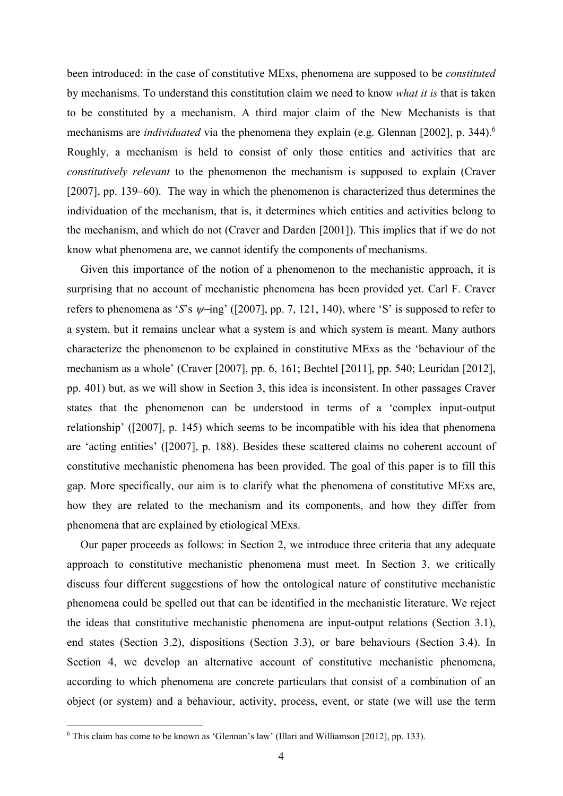been introduced: in the case of constitutive MExs, phenomena are supposed to be *constituted* by mechanisms. To understand this constitution claim we need to know *what it is* that is taken to be constituted by a mechanism. A third major claim of the New Mechanists is that mechanisms are *individuated* via the phenomena they explain (e.g. Glennan [2002], p. 344).<sup>6</sup> Roughly, a mechanism is held to consist of only those entities and activities that are *constitutively relevant* to the phenomenon the mechanism is supposed to explain (Craver [2007], pp. 139–60). The way in which the phenomenon is characterized thus determines the individuation of the mechanism, that is, it determines which entities and activities belong to the mechanism, and which do not (Craver and Darden [2001]). This implies that if we do not know what phenomena are, we cannot identify the components of mechanisms.

Given this importance of the notion of a phenomenon to the mechanistic approach, it is surprising that no account of mechanistic phenomena has been provided yet. Carl F. Craver refers to phenomena as '*S*'s  $\psi$ -ing' ([2007], pp. 7, 121, 140), where '*S*' is supposed to refer to a system, but it remains unclear what a system is and which system is meant. Many authors characterize the phenomenon to be explained in constitutive MExs as the 'behaviour of the mechanism as a whole' (Craver [2007], pp. 6, 161; Bechtel [2011], pp. 540; Leuridan [2012], pp. 401) but, as we will show in Section 3, this idea is inconsistent. In other passages Craver states that the phenomenon can be understood in terms of a 'complex input-output relationship' ([2007], p. 145) which seems to be incompatible with his idea that phenomena are 'acting entities' ([2007], p. 188). Besides these scattered claims no coherent account of constitutive mechanistic phenomena has been provided. The goal of this paper is to fill this gap. More specifically, our aim is to clarify what the phenomena of constitutive MExs are, how they are related to the mechanism and its components, and how they differ from phenomena that are explained by etiological MExs.

Our paper proceeds as follows: in Section 2, we introduce three criteria that any adequate approach to constitutive mechanistic phenomena must meet. In Section 3, we critically discuss four different suggestions of how the ontological nature of constitutive mechanistic phenomena could be spelled out that can be identified in the mechanistic literature. We reject the ideas that constitutive mechanistic phenomena are input-output relations (Section 3.1), end states (Section 3.2), dispositions (Section 3.3), or bare behaviours (Section 3.4). In Section 4, we develop an alternative account of constitutive mechanistic phenomena, according to which phenomena are concrete particulars that consist of a combination of an object (or system) and a behaviour, activity, process, event, or state (we will use the term

<sup>6</sup> This claim has come to be known as 'Glennan's law' (Illari and Williamson [2012], pp. 133).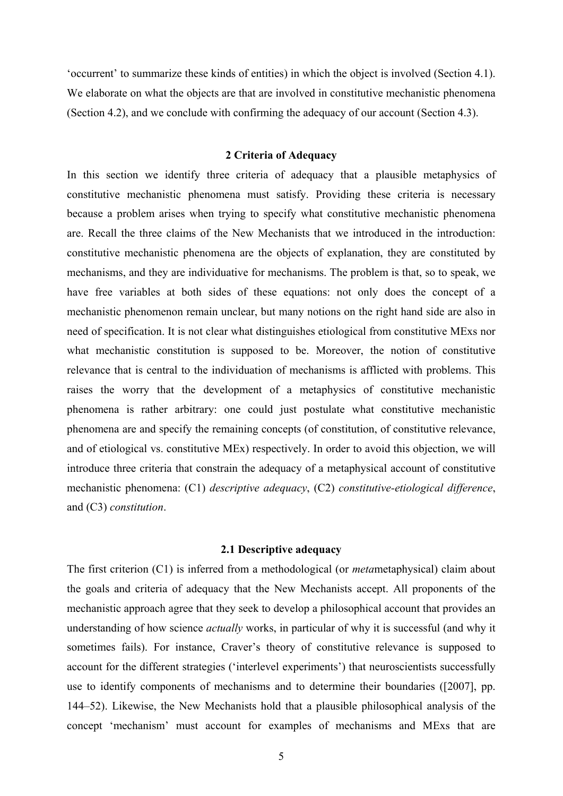'occurrent' to summarize these kinds of entities) in which the object is involved (Section 4.1). We elaborate on what the objects are that are involved in constitutive mechanistic phenomena (Section 4.2), and we conclude with confirming the adequacy of our account (Section 4.3).

# **2 Criteria of Adequacy**

In this section we identify three criteria of adequacy that a plausible metaphysics of constitutive mechanistic phenomena must satisfy. Providing these criteria is necessary because a problem arises when trying to specify what constitutive mechanistic phenomena are. Recall the three claims of the New Mechanists that we introduced in the introduction: constitutive mechanistic phenomena are the objects of explanation, they are constituted by mechanisms, and they are individuative for mechanisms. The problem is that, so to speak, we have free variables at both sides of these equations: not only does the concept of a mechanistic phenomenon remain unclear, but many notions on the right hand side are also in need of specification. It is not clear what distinguishes etiological from constitutive MExs nor what mechanistic constitution is supposed to be. Moreover, the notion of constitutive relevance that is central to the individuation of mechanisms is afflicted with problems. This raises the worry that the development of a metaphysics of constitutive mechanistic phenomena is rather arbitrary: one could just postulate what constitutive mechanistic phenomena are and specify the remaining concepts (of constitution, of constitutive relevance, and of etiological vs. constitutive MEx) respectively. In order to avoid this objection, we will introduce three criteria that constrain the adequacy of a metaphysical account of constitutive mechanistic phenomena: (C1) *descriptive adequacy*, (C2) *constitutive-etiological difference*, and (C3) *constitution*.

## **2.1 Descriptive adequacy**

The first criterion (C1) is inferred from a methodological (or *meta*metaphysical) claim about the goals and criteria of adequacy that the New Mechanists accept. All proponents of the mechanistic approach agree that they seek to develop a philosophical account that provides an understanding of how science *actually* works, in particular of why it is successful (and why it sometimes fails). For instance, Craver's theory of constitutive relevance is supposed to account for the different strategies ('interlevel experiments') that neuroscientists successfully use to identify components of mechanisms and to determine their boundaries ([2007], pp. 144–52). Likewise, the New Mechanists hold that a plausible philosophical analysis of the concept 'mechanism' must account for examples of mechanisms and MExs that are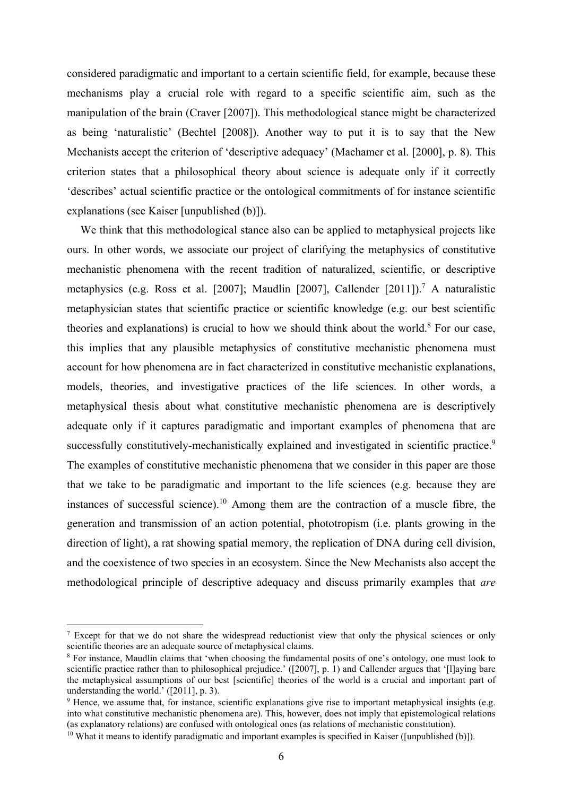considered paradigmatic and important to a certain scientific field, for example, because these mechanisms play a crucial role with regard to a specific scientific aim, such as the manipulation of the brain (Craver [2007]). This methodological stance might be characterized as being 'naturalistic' (Bechtel [2008]). Another way to put it is to say that the New Mechanists accept the criterion of 'descriptive adequacy' (Machamer et al. [2000], p. 8). This criterion states that a philosophical theory about science is adequate only if it correctly 'describes' actual scientific practice or the ontological commitments of for instance scientific explanations (see Kaiser [unpublished (b)]).

We think that this methodological stance also can be applied to metaphysical projects like ours. In other words, we associate our project of clarifying the metaphysics of constitutive mechanistic phenomena with the recent tradition of naturalized, scientific, or descriptive metaphysics (e.g. Ross et al. [2007]; Maudlin [2007], Callender [2011]).<sup>7</sup> A naturalistic metaphysician states that scientific practice or scientific knowledge (e.g. our best scientific theories and explanations) is crucial to how we should think about the world.<sup>8</sup> For our case, this implies that any plausible metaphysics of constitutive mechanistic phenomena must account for how phenomena are in fact characterized in constitutive mechanistic explanations, models, theories, and investigative practices of the life sciences. In other words, a metaphysical thesis about what constitutive mechanistic phenomena are is descriptively adequate only if it captures paradigmatic and important examples of phenomena that are successfully constitutively-mechanistically explained and investigated in scientific practice.<sup>9</sup> The examples of constitutive mechanistic phenomena that we consider in this paper are those that we take to be paradigmatic and important to the life sciences (e.g. because they are instances of successful science).<sup>10</sup> Among them are the contraction of a muscle fibre, the generation and transmission of an action potential, phototropism (i.e. plants growing in the direction of light), a rat showing spatial memory, the replication of DNA during cell division, and the coexistence of two species in an ecosystem. Since the New Mechanists also accept the methodological principle of descriptive adequacy and discuss primarily examples that *are*

<u>.</u>

<sup>&</sup>lt;sup>7</sup> Except for that we do not share the widespread reductionist view that only the physical sciences or only scientific theories are an adequate source of metaphysical claims.

<sup>&</sup>lt;sup>8</sup> For instance, Maudlin claims that 'when choosing the fundamental posits of one's ontology, one must look to scientific practice rather than to philosophical prejudice.' ([2007], p. 1) and Callender argues that '[l]aying bare the metaphysical assumptions of our best [scientific] theories of the world is a crucial and important part of understanding the world.' ([2011], p. 3).

<sup>&</sup>lt;sup>9</sup> Hence, we assume that, for instance, scientific explanations give rise to important metaphysical insights (e.g. into what constitutive mechanistic phenomena are). This, however, does not imply that epistemological relations (as explanatory relations) are confused with ontological ones (as relations of mechanistic constitution).

<sup>10</sup> What it means to identify paradigmatic and important examples is specified in Kaiser ([unpublished (b)]).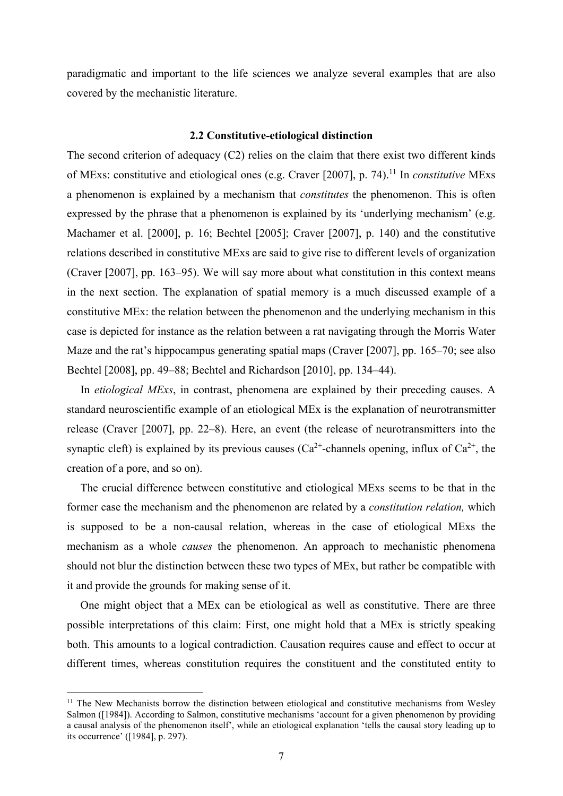paradigmatic and important to the life sciences we analyze several examples that are also covered by the mechanistic literature.

#### **2.2 Constitutive-etiological distinction**

The second criterion of adequacy (C2) relies on the claim that there exist two different kinds of MExs: constitutive and etiological ones (e.g. Craver [2007], p. 74).11 In *constitutive* MExs a phenomenon is explained by a mechanism that *constitutes* the phenomenon. This is often expressed by the phrase that a phenomenon is explained by its 'underlying mechanism' (e.g. Machamer et al. [2000], p. 16; Bechtel [2005]; Craver [2007], p. 140) and the constitutive relations described in constitutive MExs are said to give rise to different levels of organization (Craver [2007], pp. 163–95). We will say more about what constitution in this context means in the next section. The explanation of spatial memory is a much discussed example of a constitutive MEx: the relation between the phenomenon and the underlying mechanism in this case is depicted for instance as the relation between a rat navigating through the Morris Water Maze and the rat's hippocampus generating spatial maps (Craver [2007], pp. 165–70; see also Bechtel [2008], pp. 49–88; Bechtel and Richardson [2010], pp. 134–44).

In *etiological MExs*, in contrast, phenomena are explained by their preceding causes. A standard neuroscientific example of an etiological MEx is the explanation of neurotransmitter release (Craver [2007], pp. 22–8). Here, an event (the release of neurotransmitters into the synaptic cleft) is explained by its previous causes  $(Ca^{2+}-channels$  opening, influx of  $Ca^{2+}$ , the creation of a pore, and so on).

The crucial difference between constitutive and etiological MExs seems to be that in the former case the mechanism and the phenomenon are related by a *constitution relation,* which is supposed to be a non-causal relation, whereas in the case of etiological MExs the mechanism as a whole *causes* the phenomenon. An approach to mechanistic phenomena should not blur the distinction between these two types of MEx, but rather be compatible with it and provide the grounds for making sense of it.

One might object that a MEx can be etiological as well as constitutive. There are three possible interpretations of this claim: First, one might hold that a MEx is strictly speaking both. This amounts to a logical contradiction. Causation requires cause and effect to occur at different times, whereas constitution requires the constituent and the constituted entity to

<sup>&</sup>lt;sup>11</sup> The New Mechanists borrow the distinction between etiological and constitutive mechanisms from Wesley Salmon ([1984]). According to Salmon, constitutive mechanisms 'account for a given phenomenon by providing a causal analysis of the phenomenon itself', while an etiological explanation 'tells the causal story leading up to its occurrence' ([1984], p. 297).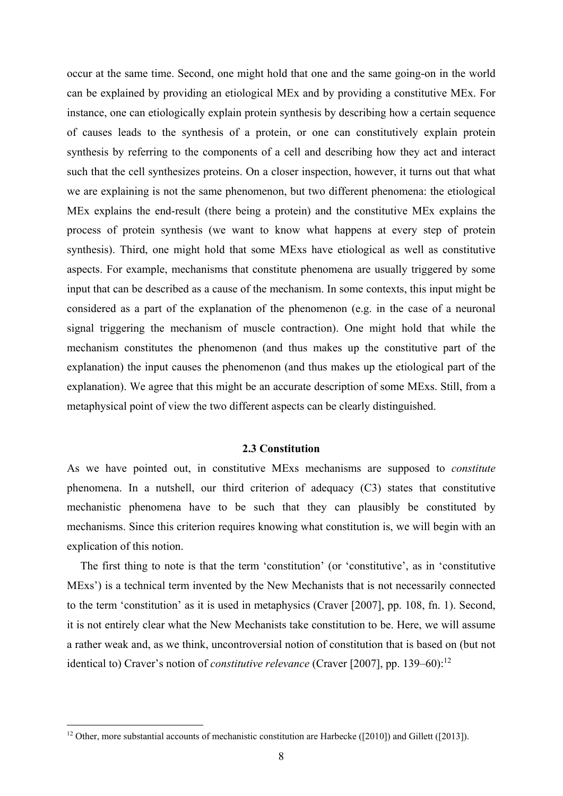occur at the same time. Second, one might hold that one and the same going-on in the world can be explained by providing an etiological MEx and by providing a constitutive MEx. For instance, one can etiologically explain protein synthesis by describing how a certain sequence of causes leads to the synthesis of a protein, or one can constitutively explain protein synthesis by referring to the components of a cell and describing how they act and interact such that the cell synthesizes proteins. On a closer inspection, however, it turns out that what we are explaining is not the same phenomenon, but two different phenomena: the etiological MEx explains the end-result (there being a protein) and the constitutive MEx explains the process of protein synthesis (we want to know what happens at every step of protein synthesis). Third, one might hold that some MExs have etiological as well as constitutive aspects. For example, mechanisms that constitute phenomena are usually triggered by some input that can be described as a cause of the mechanism. In some contexts, this input might be considered as a part of the explanation of the phenomenon (e.g. in the case of a neuronal signal triggering the mechanism of muscle contraction). One might hold that while the mechanism constitutes the phenomenon (and thus makes up the constitutive part of the explanation) the input causes the phenomenon (and thus makes up the etiological part of the explanation). We agree that this might be an accurate description of some MExs. Still, from a metaphysical point of view the two different aspects can be clearly distinguished.

#### **2.3 Constitution**

As we have pointed out, in constitutive MExs mechanisms are supposed to *constitute* phenomena. In a nutshell, our third criterion of adequacy (C3) states that constitutive mechanistic phenomena have to be such that they can plausibly be constituted by mechanisms. Since this criterion requires knowing what constitution is, we will begin with an explication of this notion.

The first thing to note is that the term 'constitution' (or 'constitutive', as in 'constitutive MExs') is a technical term invented by the New Mechanists that is not necessarily connected to the term 'constitution' as it is used in metaphysics (Craver [2007], pp. 108, fn. 1). Second, it is not entirely clear what the New Mechanists take constitution to be. Here, we will assume a rather weak and, as we think, uncontroversial notion of constitution that is based on (but not identical to) Craver's notion of *constitutive relevance* (Craver [2007], pp. 139–60):<sup>12</sup>

<sup>&</sup>lt;sup>12</sup> Other, more substantial accounts of mechanistic constitution are Harbecke ([2010]) and Gillett ([2013]).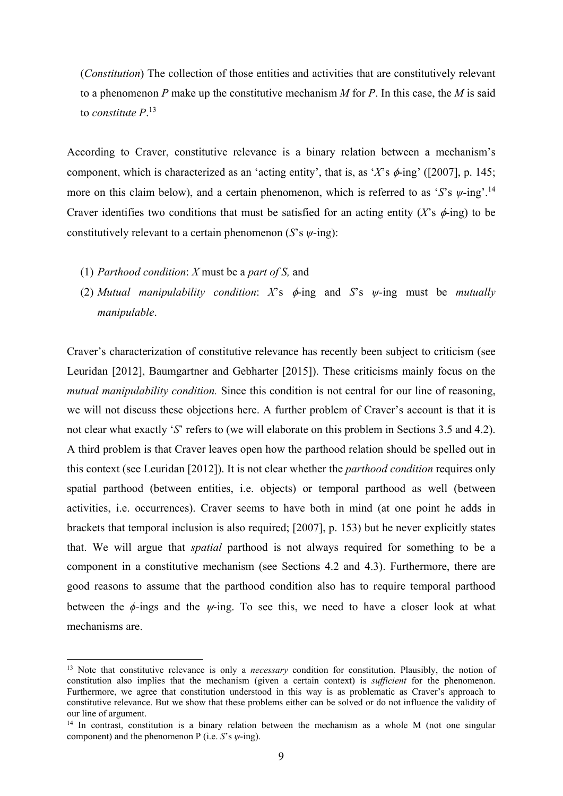(*Constitution*) The collection of those entities and activities that are constitutively relevant to a phenomenon *P* make up the constitutive mechanism *M* for *P*. In this case, the *M* is said to *constitute P*. 13

According to Craver, constitutive relevance is a binary relation between a mechanism's component, which is characterized as an 'acting entity', that is, as '*X*'s  $\phi$ -ing' ([2007], p. 145; more on this claim below), and a certain phenomenon, which is referred to as '*S*'s *ψ-*ing'.14 Craver identifies two conditions that must be satisfied for an acting entity  $(X<sup>s</sup> \phi - i\eta)$  to be constitutively relevant to a certain phenomenon (*S*'s *ψ-*ing):

(1) *Parthood condition*: *X* must be a *part of S,* and

1

(2) *Mutual manipulability condition*:  $X$ 's  $\phi$ -ing and  $S$ 's  $\psi$ -ing must be *mutually manipulable*.

Craver's characterization of constitutive relevance has recently been subject to criticism (see Leuridan [2012], Baumgartner and Gebharter [2015]). These criticisms mainly focus on the *mutual manipulability condition.* Since this condition is not central for our line of reasoning, we will not discuss these objections here. A further problem of Craver's account is that it is not clear what exactly '*S*' refers to (we will elaborate on this problem in Sections 3.5 and 4.2). A third problem is that Craver leaves open how the parthood relation should be spelled out in this context (see Leuridan [2012]). It is not clear whether the *parthood condition* requires only spatial parthood (between entities, i.e. objects) or temporal parthood as well (between activities, i.e. occurrences). Craver seems to have both in mind (at one point he adds in brackets that temporal inclusion is also required; [2007], p. 153) but he never explicitly states that. We will argue that *spatial* parthood is not always required for something to be a component in a constitutive mechanism (see Sections 4.2 and 4.3). Furthermore, there are good reasons to assume that the parthood condition also has to require temporal parthood between the  $\phi$ -ings and the  $\psi$ -ing. To see this, we need to have a closer look at what mechanisms are.

<sup>&</sup>lt;sup>13</sup> Note that constitutive relevance is only a *necessary* condition for constitution. Plausibly, the notion of constitution also implies that the mechanism (given a certain context) is *sufficient* for the phenomenon. Furthermore, we agree that constitution understood in this way is as problematic as Craver's approach to constitutive relevance. But we show that these problems either can be solved or do not influence the validity of our line of argument.

<sup>&</sup>lt;sup>14</sup> In contrast, constitution is a binary relation between the mechanism as a whole M (not one singular component) and the phenomenon P (i.e.  $S$ 's  $\psi$ -ing).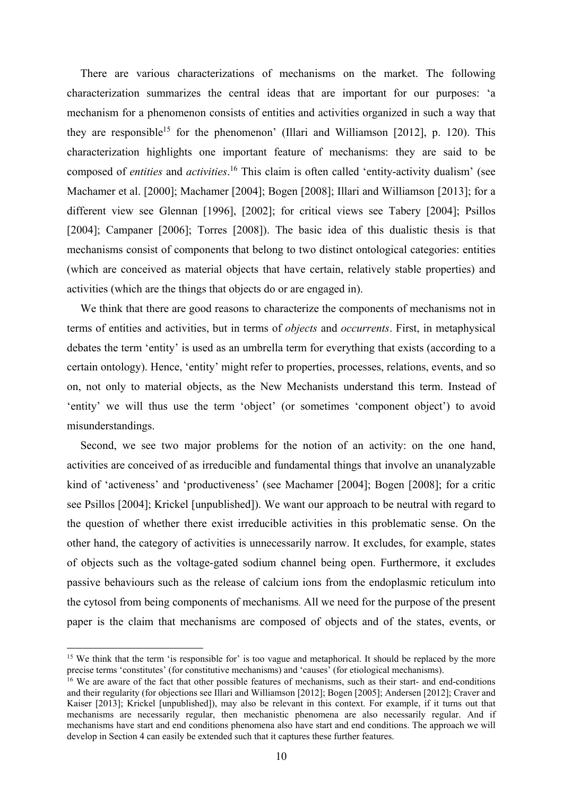There are various characterizations of mechanisms on the market. The following characterization summarizes the central ideas that are important for our purposes: 'a mechanism for a phenomenon consists of entities and activities organized in such a way that they are responsible<sup>15</sup> for the phenomenon' (Illari and Williamson [2012], p. 120). This characterization highlights one important feature of mechanisms: they are said to be composed of *entities* and *activities*. 16 This claim is often called 'entity-activity dualism' (see Machamer et al. [2000]; Machamer [2004]; Bogen [2008]; Illari and Williamson [2013]; for a different view see Glennan [1996], [2002]; for critical views see Tabery [2004]; Psillos [2004]; Campaner [2006]; Torres [2008]). The basic idea of this dualistic thesis is that mechanisms consist of components that belong to two distinct ontological categories: entities (which are conceived as material objects that have certain, relatively stable properties) and activities (which are the things that objects do or are engaged in).

We think that there are good reasons to characterize the components of mechanisms not in terms of entities and activities, but in terms of *objects* and *occurrents*. First, in metaphysical debates the term 'entity' is used as an umbrella term for everything that exists (according to a certain ontology). Hence, 'entity' might refer to properties, processes, relations, events, and so on, not only to material objects, as the New Mechanists understand this term. Instead of 'entity' we will thus use the term 'object' (or sometimes 'component object') to avoid misunderstandings.

Second, we see two major problems for the notion of an activity: on the one hand, activities are conceived of as irreducible and fundamental things that involve an unanalyzable kind of 'activeness' and 'productiveness' (see Machamer [2004]; Bogen [2008]; for a critic see Psillos [2004]; Krickel [unpublished]). We want our approach to be neutral with regard to the question of whether there exist irreducible activities in this problematic sense. On the other hand, the category of activities is unnecessarily narrow. It excludes, for example, states of objects such as the voltage-gated sodium channel being open. Furthermore, it excludes passive behaviours such as the release of calcium ions from the endoplasmic reticulum into the cytosol from being components of mechanisms. All we need for the purpose of the present paper is the claim that mechanisms are composed of objects and of the states, events, or

<sup>&</sup>lt;sup>15</sup> We think that the term 'is responsible for' is too vague and metaphorical. It should be replaced by the more precise terms 'constitutes' (for constitutive mechanisms) and 'causes' (for etiological mechanisms).

<sup>&</sup>lt;sup>16</sup> We are aware of the fact that other possible features of mechanisms, such as their start- and end-conditions and their regularity (for objections see Illari and Williamson [2012]; Bogen [2005]; Andersen [2012]; Craver and Kaiser [2013]; Krickel [unpublished]), may also be relevant in this context. For example, if it turns out that mechanisms are necessarily regular, then mechanistic phenomena are also necessarily regular. And if mechanisms have start and end conditions phenomena also have start and end conditions. The approach we will develop in Section 4 can easily be extended such that it captures these further features.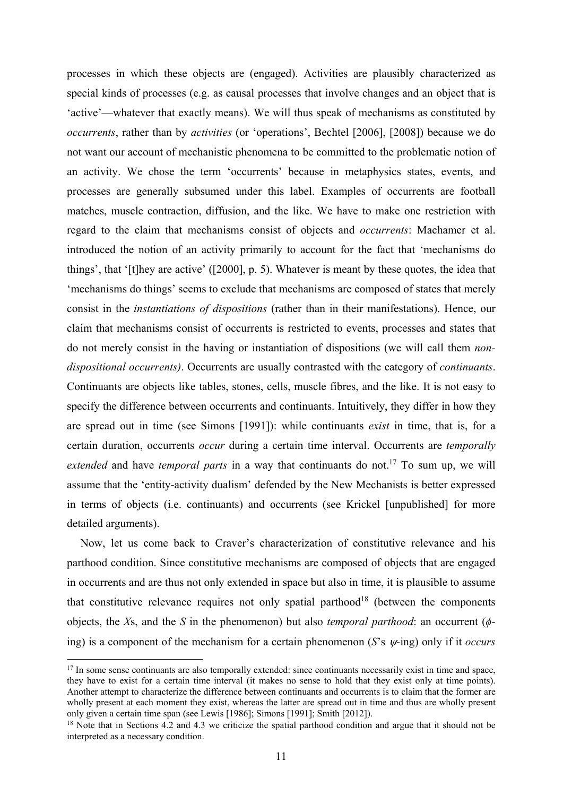processes in which these objects are (engaged). Activities are plausibly characterized as special kinds of processes (e.g. as causal processes that involve changes and an object that is 'active'—whatever that exactly means). We will thus speak of mechanisms as constituted by *occurrents*, rather than by *activities* (or 'operations', Bechtel [2006], [2008]) because we do not want our account of mechanistic phenomena to be committed to the problematic notion of an activity. We chose the term 'occurrents' because in metaphysics states, events, and processes are generally subsumed under this label. Examples of occurrents are football matches, muscle contraction, diffusion, and the like. We have to make one restriction with regard to the claim that mechanisms consist of objects and *occurrents*: Machamer et al. introduced the notion of an activity primarily to account for the fact that 'mechanisms do things', that '[t]hey are active' ([2000], p. 5). Whatever is meant by these quotes, the idea that 'mechanisms do things' seems to exclude that mechanisms are composed of states that merely consist in the *instantiations of dispositions* (rather than in their manifestations). Hence, our claim that mechanisms consist of occurrents is restricted to events, processes and states that do not merely consist in the having or instantiation of dispositions (we will call them *nondispositional occurrents)*. Occurrents are usually contrasted with the category of *continuants*. Continuants are objects like tables, stones, cells, muscle fibres, and the like. It is not easy to specify the difference between occurrents and continuants. Intuitively, they differ in how they are spread out in time (see Simons [1991]): while continuants *exist* in time, that is, for a certain duration, occurrents *occur* during a certain time interval. Occurrents are *temporally extended* and have *temporal parts* in a way that continuants do not.<sup>17</sup> To sum up, we will assume that the 'entity-activity dualism' defended by the New Mechanists is better expressed in terms of objects (i.e. continuants) and occurrents (see Krickel [unpublished] for more detailed arguments).

Now, let us come back to Craver's characterization of constitutive relevance and his parthood condition. Since constitutive mechanisms are composed of objects that are engaged in occurrents and are thus not only extended in space but also in time, it is plausible to assume that constitutive relevance requires not only spatial parthood<sup>18</sup> (between the components objects, the *X*s, and the *S* in the phenomenon) but also *temporal parthood*: an occurrent (*ϕ*ing) is a component of the mechanism for a certain phenomenon ( $S$ 's  $\nu$ -ing) only if it *occurs* 

<sup>&</sup>lt;sup>17</sup> In some sense continuants are also temporally extended: since continuants necessarily exist in time and space, they have to exist for a certain time interval (it makes no sense to hold that they exist only at time points). Another attempt to characterize the difference between continuants and occurrents is to claim that the former are wholly present at each moment they exist, whereas the latter are spread out in time and thus are wholly present only given a certain time span (see Lewis [1986]; Simons [1991]; Smith [2012]).

<sup>&</sup>lt;sup>18</sup> Note that in Sections 4.2 and 4.3 we criticize the spatial parthood condition and argue that it should not be interpreted as a necessary condition.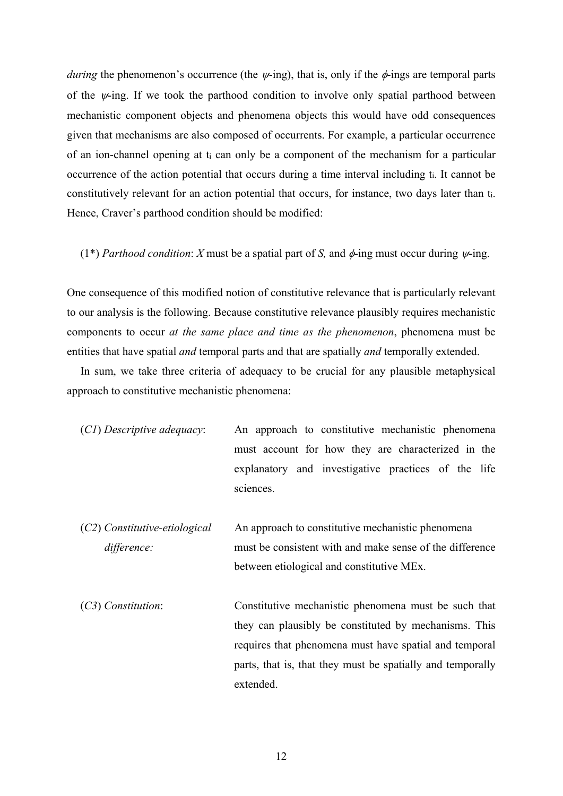*during* the phenomenon's occurrence (the  $\psi$ -ing), that is, only if the  $\phi$ -ings are temporal parts of the  $\psi$ -ing. If we took the parthood condition to involve only spatial parthood between mechanistic component objects and phenomena objects this would have odd consequences given that mechanisms are also composed of occurrents. For example, a particular occurrence of an ion-channel opening at ti can only be a component of the mechanism for a particular occurrence of the action potential that occurs during a time interval including ti. It cannot be constitutively relevant for an action potential that occurs, for instance, two days later than ti. Hence, Craver's parthood condition should be modified:

(1\*) *Parthood condition*: *X* must be a spatial part of *S*, and  $\phi$ -ing must occur during  $\psi$ -ing.

One consequence of this modified notion of constitutive relevance that is particularly relevant to our analysis is the following. Because constitutive relevance plausibly requires mechanistic components to occur *at the same place and time as the phenomenon*, phenomena must be entities that have spatial *and* temporal parts and that are spatially *and* temporally extended.

In sum, we take three criteria of adequacy to be crucial for any plausible metaphysical approach to constitutive mechanistic phenomena:

- (*C1*) *Descriptive adequacy*: An approach to constitutive mechanistic phenomena must account for how they are characterized in the explanatory and investigative practices of the life sciences.
- (*C2*) *Constitutive-etiological* An approach to constitutive mechanistic phenomena *difference:* must be consistent with and make sense of the difference between etiological and constitutive MEx.
- (*C3*) *Constitution*: Constitutive mechanistic phenomena must be such that they can plausibly be constituted by mechanisms. This requires that phenomena must have spatial and temporal parts, that is, that they must be spatially and temporally extended.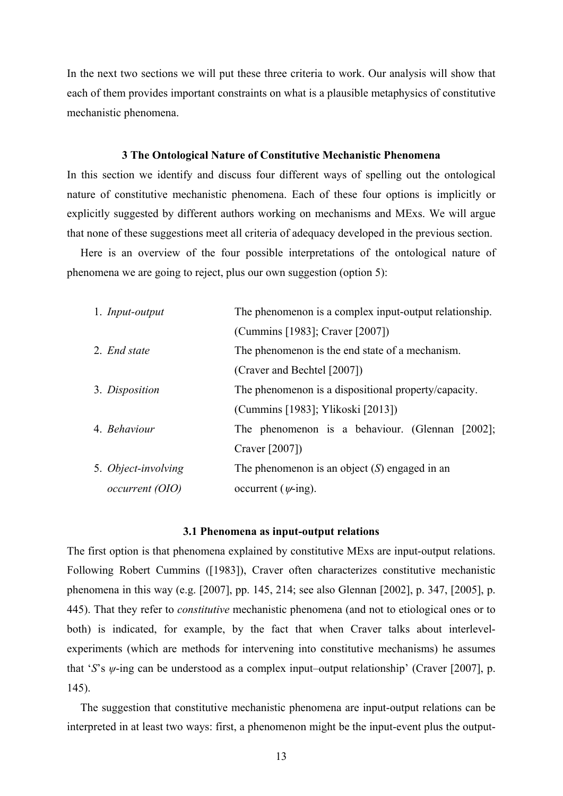In the next two sections we will put these three criteria to work. Our analysis will show that each of them provides important constraints on what is a plausible metaphysics of constitutive mechanistic phenomena.

#### **3 The Ontological Nature of Constitutive Mechanistic Phenomena**

In this section we identify and discuss four different ways of spelling out the ontological nature of constitutive mechanistic phenomena. Each of these four options is implicitly or explicitly suggested by different authors working on mechanisms and MExs. We will argue that none of these suggestions meet all criteria of adequacy developed in the previous section.

Here is an overview of the four possible interpretations of the ontological nature of phenomena we are going to reject, plus our own suggestion (option 5):

| The phenomenon is a complex input-output relationship. |
|--------------------------------------------------------|
| (Cummins [1983]; Craver [2007])                        |
| The phenomenon is the end state of a mechanism.        |
| (Craver and Bechtel [2007])                            |
| The phenomenon is a dispositional property/capacity.   |
| (Cummins [1983]; Ylikoski [2013])                      |
| The phenomenon is a behaviour. (Glennan $[2002]$ ;     |
| Craver [2007])                                         |
| The phenomenon is an object $(S)$ engaged in an        |
| occurrent ( $\psi$ -ing).                              |
|                                                        |

#### **3.1 Phenomena as input-output relations**

The first option is that phenomena explained by constitutive MExs are input-output relations. Following Robert Cummins ([1983]), Craver often characterizes constitutive mechanistic phenomena in this way (e.g. [2007], pp. 145, 214; see also Glennan [2002], p. 347, [2005], p. 445). That they refer to *constitutive* mechanistic phenomena (and not to etiological ones or to both) is indicated, for example, by the fact that when Craver talks about interlevelexperiments (which are methods for intervening into constitutive mechanisms) he assumes that '*S*'s *ψ*-ing can be understood as a complex input–output relationship' (Craver [2007], p. 145).

The suggestion that constitutive mechanistic phenomena are input-output relations can be interpreted in at least two ways: first, a phenomenon might be the input-event plus the output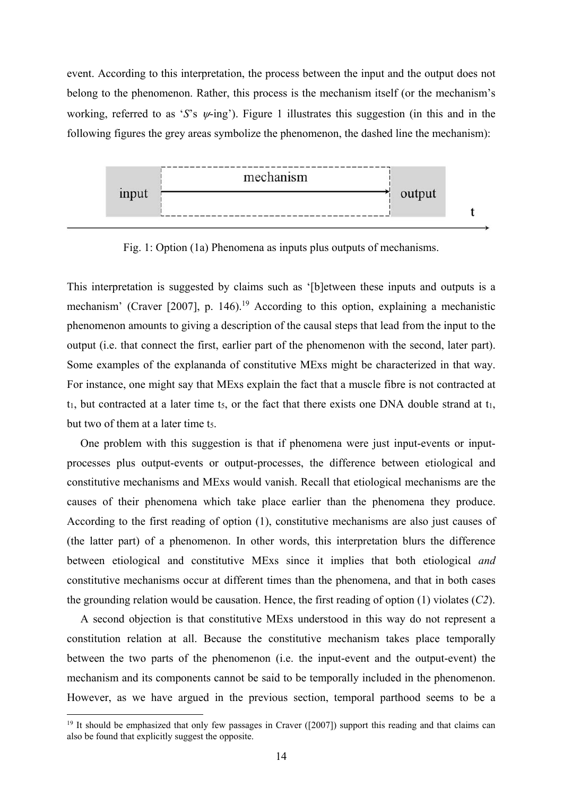event. According to this interpretation, the process between the input and the output does not belong to the phenomenon. Rather, this process is the mechanism itself (or the mechanism's working, referred to as '*S*'s  $\psi$ -ing'). Figure 1 illustrates this suggestion (in this and in the following figures the grey areas symbolize the phenomenon, the dashed line the mechanism):



Fig. 1: Option (1a) Phenomena as inputs plus outputs of mechanisms.

This interpretation is suggested by claims such as '[b]etween these inputs and outputs is a mechanism' (Craver [2007], p. 146).<sup>19</sup> According to this option, explaining a mechanistic phenomenon amounts to giving a description of the causal steps that lead from the input to the output (i.e. that connect the first, earlier part of the phenomenon with the second, later part). Some examples of the explananda of constitutive MExs might be characterized in that way. For instance, one might say that MExs explain the fact that a muscle fibre is not contracted at  $t_1$ , but contracted at a later time t<sub>5</sub>, or the fact that there exists one DNA double strand at  $t_1$ , but two of them at a later time t<sub>5</sub>.

One problem with this suggestion is that if phenomena were just input-events or inputprocesses plus output-events or output-processes, the difference between etiological and constitutive mechanisms and MExs would vanish. Recall that etiological mechanisms are the causes of their phenomena which take place earlier than the phenomena they produce. According to the first reading of option (1), constitutive mechanisms are also just causes of (the latter part) of a phenomenon. In other words, this interpretation blurs the difference between etiological and constitutive MExs since it implies that both etiological *and* constitutive mechanisms occur at different times than the phenomena, and that in both cases the grounding relation would be causation. Hence, the first reading of option (1) violates (*C2*).

A second objection is that constitutive MExs understood in this way do not represent a constitution relation at all. Because the constitutive mechanism takes place temporally between the two parts of the phenomenon (i.e. the input-event and the output-event) the mechanism and its components cannot be said to be temporally included in the phenomenon. However, as we have argued in the previous section, temporal parthood seems to be a

<sup>&</sup>lt;sup>19</sup> It should be emphasized that only few passages in Craver ([2007]) support this reading and that claims can also be found that explicitly suggest the opposite.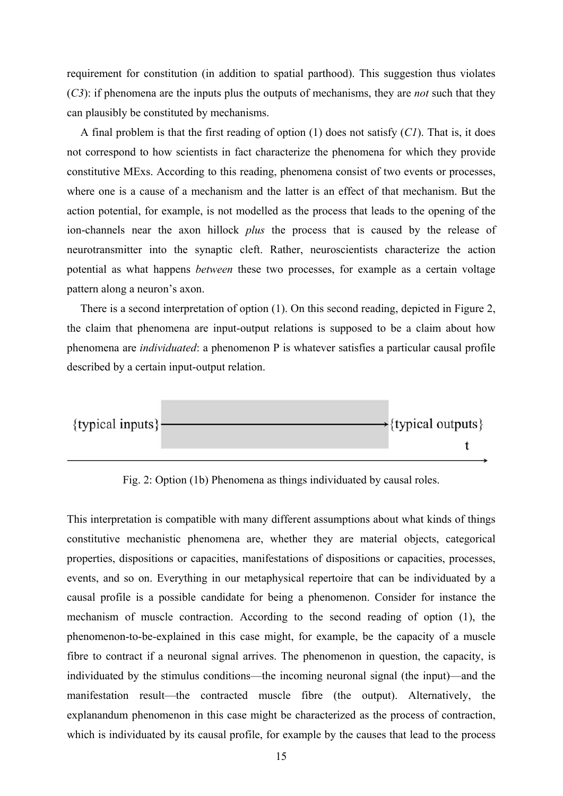requirement for constitution (in addition to spatial parthood). This suggestion thus violates (*C3*): if phenomena are the inputs plus the outputs of mechanisms, they are *not* such that they can plausibly be constituted by mechanisms.

A final problem is that the first reading of option (1) does not satisfy (*C1*). That is, it does not correspond to how scientists in fact characterize the phenomena for which they provide constitutive MExs. According to this reading, phenomena consist of two events or processes, where one is a cause of a mechanism and the latter is an effect of that mechanism. But the action potential, for example, is not modelled as the process that leads to the opening of the ion-channels near the axon hillock *plus* the process that is caused by the release of neurotransmitter into the synaptic cleft. Rather, neuroscientists characterize the action potential as what happens *between* these two processes, for example as a certain voltage pattern along a neuron's axon.

There is a second interpretation of option (1). On this second reading, depicted in Figure 2, the claim that phenomena are input-output relations is supposed to be a claim about how phenomena are *individuated*: a phenomenon P is whatever satisfies a particular causal profile described by a certain input-output relation.



Fig. 2: Option (1b) Phenomena as things individuated by causal roles.

This interpretation is compatible with many different assumptions about what kinds of things constitutive mechanistic phenomena are, whether they are material objects, categorical properties, dispositions or capacities, manifestations of dispositions or capacities, processes, events, and so on. Everything in our metaphysical repertoire that can be individuated by a causal profile is a possible candidate for being a phenomenon. Consider for instance the mechanism of muscle contraction. According to the second reading of option (1), the phenomenon-to-be-explained in this case might, for example, be the capacity of a muscle fibre to contract if a neuronal signal arrives. The phenomenon in question, the capacity, is individuated by the stimulus conditions—the incoming neuronal signal (the input)—and the manifestation result—the contracted muscle fibre (the output). Alternatively, the explanandum phenomenon in this case might be characterized as the process of contraction, which is individuated by its causal profile, for example by the causes that lead to the process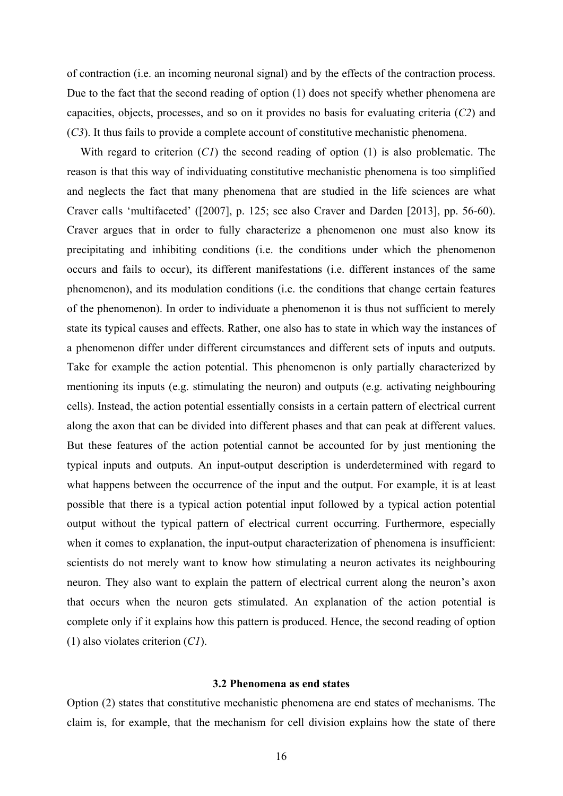of contraction (i.e. an incoming neuronal signal) and by the effects of the contraction process. Due to the fact that the second reading of option (1) does not specify whether phenomena are capacities, objects, processes, and so on it provides no basis for evaluating criteria (*C2*) and (*C3*). It thus fails to provide a complete account of constitutive mechanistic phenomena.

With regard to criterion (*C1*) the second reading of option (1) is also problematic. The reason is that this way of individuating constitutive mechanistic phenomena is too simplified and neglects the fact that many phenomena that are studied in the life sciences are what Craver calls 'multifaceted' ([2007], p. 125; see also Craver and Darden [2013], pp. 56-60). Craver argues that in order to fully characterize a phenomenon one must also know its precipitating and inhibiting conditions (i.e. the conditions under which the phenomenon occurs and fails to occur), its different manifestations (i.e. different instances of the same phenomenon), and its modulation conditions (i.e. the conditions that change certain features of the phenomenon). In order to individuate a phenomenon it is thus not sufficient to merely state its typical causes and effects. Rather, one also has to state in which way the instances of a phenomenon differ under different circumstances and different sets of inputs and outputs. Take for example the action potential. This phenomenon is only partially characterized by mentioning its inputs (e.g. stimulating the neuron) and outputs (e.g. activating neighbouring cells). Instead, the action potential essentially consists in a certain pattern of electrical current along the axon that can be divided into different phases and that can peak at different values. But these features of the action potential cannot be accounted for by just mentioning the typical inputs and outputs. An input-output description is underdetermined with regard to what happens between the occurrence of the input and the output. For example, it is at least possible that there is a typical action potential input followed by a typical action potential output without the typical pattern of electrical current occurring. Furthermore, especially when it comes to explanation, the input-output characterization of phenomena is insufficient: scientists do not merely want to know how stimulating a neuron activates its neighbouring neuron. They also want to explain the pattern of electrical current along the neuron's axon that occurs when the neuron gets stimulated. An explanation of the action potential is complete only if it explains how this pattern is produced. Hence, the second reading of option (1) also violates criterion (*C1*).

#### **3.2 Phenomena as end states**

Option (2) states that constitutive mechanistic phenomena are end states of mechanisms. The claim is, for example, that the mechanism for cell division explains how the state of there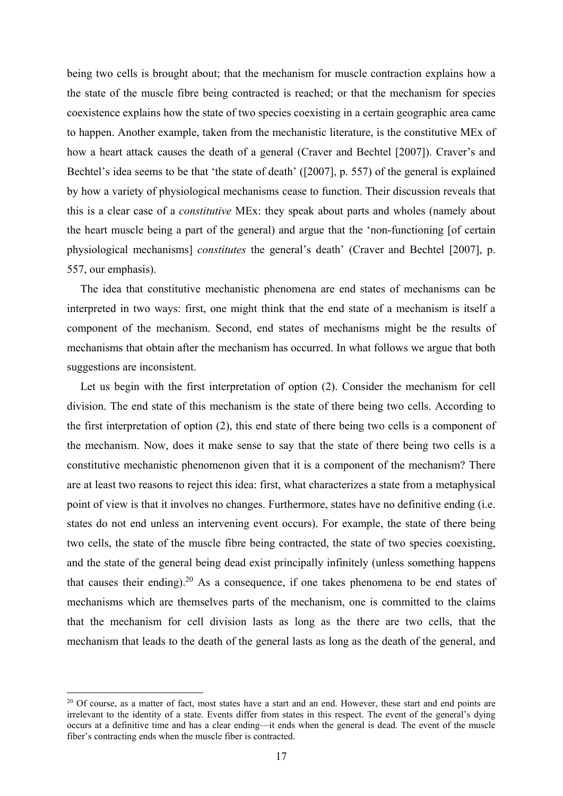being two cells is brought about; that the mechanism for muscle contraction explains how a the state of the muscle fibre being contracted is reached; or that the mechanism for species coexistence explains how the state of two species coexisting in a certain geographic area came to happen. Another example, taken from the mechanistic literature, is the constitutive MEx of how a heart attack causes the death of a general (Craver and Bechtel [2007]). Craver's and Bechtel's idea seems to be that 'the state of death' ([2007], p. 557) of the general is explained by how a variety of physiological mechanisms cease to function. Their discussion reveals that this is a clear case of a *constitutive* MEx: they speak about parts and wholes (namely about the heart muscle being a part of the general) and argue that the 'non-functioning [of certain physiological mechanisms] *constitutes* the general's death' (Craver and Bechtel [2007], p. 557, our emphasis).

The idea that constitutive mechanistic phenomena are end states of mechanisms can be interpreted in two ways: first, one might think that the end state of a mechanism is itself a component of the mechanism. Second, end states of mechanisms might be the results of mechanisms that obtain after the mechanism has occurred. In what follows we argue that both suggestions are inconsistent.

Let us begin with the first interpretation of option (2). Consider the mechanism for cell division. The end state of this mechanism is the state of there being two cells. According to the first interpretation of option (2), this end state of there being two cells is a component of the mechanism. Now, does it make sense to say that the state of there being two cells is a constitutive mechanistic phenomenon given that it is a component of the mechanism? There are at least two reasons to reject this idea: first, what characterizes a state from a metaphysical point of view is that it involves no changes. Furthermore, states have no definitive ending (i.e. states do not end unless an intervening event occurs). For example, the state of there being two cells, the state of the muscle fibre being contracted, the state of two species coexisting, and the state of the general being dead exist principally infinitely (unless something happens that causes their ending).<sup>20</sup> As a consequence, if one takes phenomena to be end states of mechanisms which are themselves parts of the mechanism, one is committed to the claims that the mechanism for cell division lasts as long as the there are two cells, that the mechanism that leads to the death of the general lasts as long as the death of the general, and

<sup>&</sup>lt;sup>20</sup> Of course, as a matter of fact, most states have a start and an end. However, these start and end points are irrelevant to the identity of a state. Events differ from states in this respect. The event of the general's dying occurs at a definitive time and has a clear ending—it ends when the general is dead. The event of the muscle fiber's contracting ends when the muscle fiber is contracted.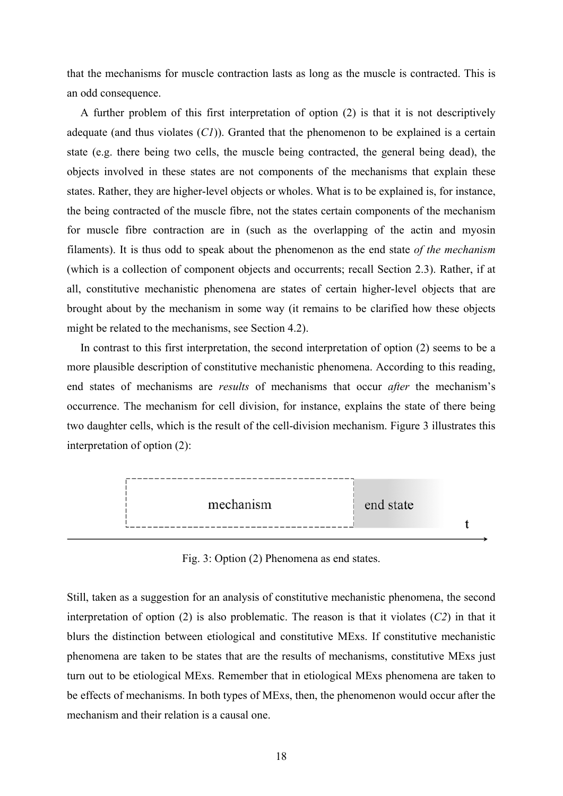that the mechanisms for muscle contraction lasts as long as the muscle is contracted. This is an odd consequence.

A further problem of this first interpretation of option (2) is that it is not descriptively adequate (and thus violates (*C1*)). Granted that the phenomenon to be explained is a certain state (e.g. there being two cells, the muscle being contracted, the general being dead), the objects involved in these states are not components of the mechanisms that explain these states. Rather, they are higher-level objects or wholes. What is to be explained is, for instance, the being contracted of the muscle fibre, not the states certain components of the mechanism for muscle fibre contraction are in (such as the overlapping of the actin and myosin filaments). It is thus odd to speak about the phenomenon as the end state *of the mechanism* (which is a collection of component objects and occurrents; recall Section 2.3). Rather, if at all, constitutive mechanistic phenomena are states of certain higher-level objects that are brought about by the mechanism in some way (it remains to be clarified how these objects might be related to the mechanisms, see Section 4.2).

In contrast to this first interpretation, the second interpretation of option (2) seems to be a more plausible description of constitutive mechanistic phenomena. According to this reading, end states of mechanisms are *results* of mechanisms that occur *after* the mechanism's occurrence. The mechanism for cell division, for instance, explains the state of there being two daughter cells, which is the result of the cell-division mechanism. Figure 3 illustrates this interpretation of option (2):



Fig. 3: Option (2) Phenomena as end states.

Still, taken as a suggestion for an analysis of constitutive mechanistic phenomena, the second interpretation of option (2) is also problematic. The reason is that it violates (*C2*) in that it blurs the distinction between etiological and constitutive MExs. If constitutive mechanistic phenomena are taken to be states that are the results of mechanisms, constitutive MExs just turn out to be etiological MExs. Remember that in etiological MExs phenomena are taken to be effects of mechanisms. In both types of MExs, then, the phenomenon would occur after the mechanism and their relation is a causal one.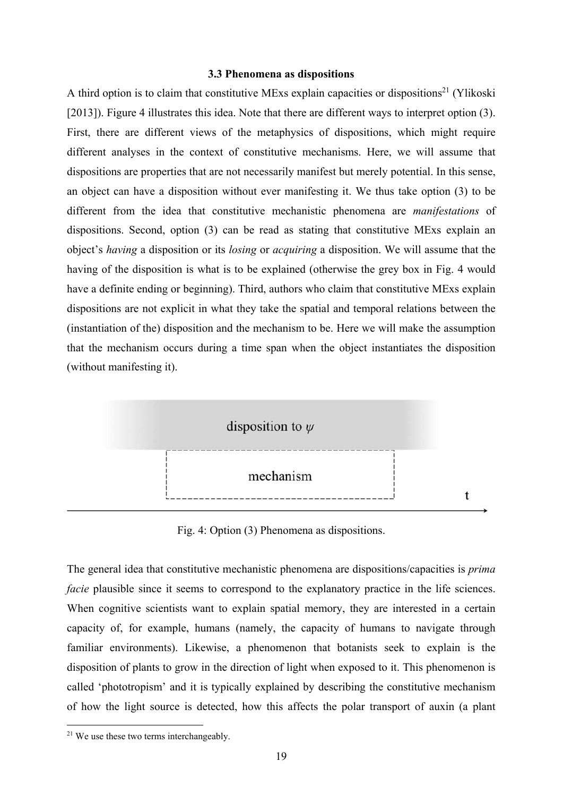#### **3.3 Phenomena as dispositions**

A third option is to claim that constitutive MExs explain capacities or dispositions<sup>21</sup> (Ylikoski [2013]). Figure 4 illustrates this idea. Note that there are different ways to interpret option (3). First, there are different views of the metaphysics of dispositions, which might require different analyses in the context of constitutive mechanisms. Here, we will assume that dispositions are properties that are not necessarily manifest but merely potential. In this sense, an object can have a disposition without ever manifesting it. We thus take option (3) to be different from the idea that constitutive mechanistic phenomena are *manifestations* of dispositions. Second, option (3) can be read as stating that constitutive MExs explain an object's *having* a disposition or its *losing* or *acquiring* a disposition. We will assume that the having of the disposition is what is to be explained (otherwise the grey box in Fig. 4 would have a definite ending or beginning). Third, authors who claim that constitutive MExs explain dispositions are not explicit in what they take the spatial and temporal relations between the (instantiation of the) disposition and the mechanism to be. Here we will make the assumption that the mechanism occurs during a time span when the object instantiates the disposition (without manifesting it).



Fig. 4: Option (3) Phenomena as dispositions.

The general idea that constitutive mechanistic phenomena are dispositions/capacities is *prima facie* plausible since it seems to correspond to the explanatory practice in the life sciences. When cognitive scientists want to explain spatial memory, they are interested in a certain capacity of, for example, humans (namely, the capacity of humans to navigate through familiar environments). Likewise, a phenomenon that botanists seek to explain is the disposition of plants to grow in the direction of light when exposed to it. This phenomenon is called 'phototropism' and it is typically explained by describing the constitutive mechanism of how the light source is detected, how this affects the polar transport of auxin (a plant

<sup>&</sup>lt;sup>21</sup> We use these two terms interchangeably.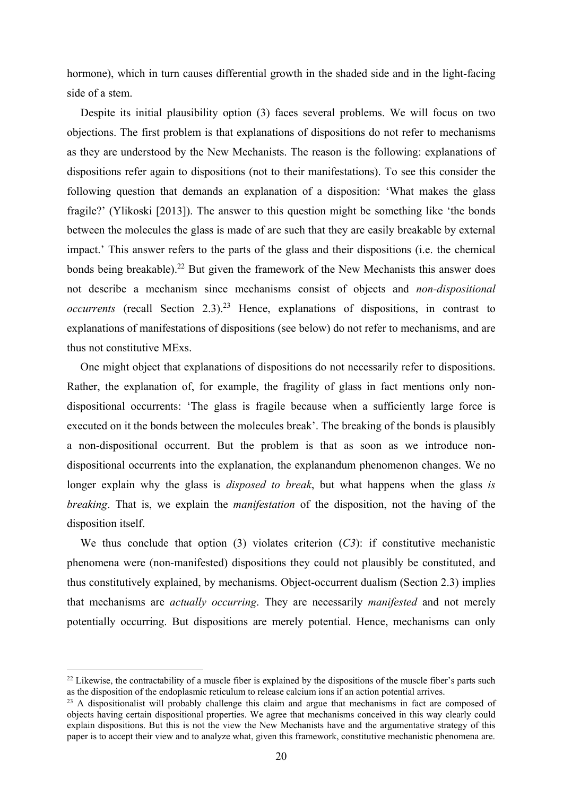hormone), which in turn causes differential growth in the shaded side and in the light-facing side of a stem.

Despite its initial plausibility option (3) faces several problems. We will focus on two objections. The first problem is that explanations of dispositions do not refer to mechanisms as they are understood by the New Mechanists. The reason is the following: explanations of dispositions refer again to dispositions (not to their manifestations). To see this consider the following question that demands an explanation of a disposition: 'What makes the glass fragile?' (Ylikoski [2013]). The answer to this question might be something like 'the bonds between the molecules the glass is made of are such that they are easily breakable by external impact.' This answer refers to the parts of the glass and their dispositions (i.e. the chemical bonds being breakable).<sup>22</sup> But given the framework of the New Mechanists this answer does not describe a mechanism since mechanisms consist of objects and *non-dispositional occurrents* (recall Section 2.3).<sup>23</sup> Hence, explanations of dispositions, in contrast to explanations of manifestations of dispositions (see below) do not refer to mechanisms, and are thus not constitutive MExs.

One might object that explanations of dispositions do not necessarily refer to dispositions. Rather, the explanation of, for example, the fragility of glass in fact mentions only nondispositional occurrents: 'The glass is fragile because when a sufficiently large force is executed on it the bonds between the molecules break'. The breaking of the bonds is plausibly a non-dispositional occurrent. But the problem is that as soon as we introduce nondispositional occurrents into the explanation, the explanandum phenomenon changes. We no longer explain why the glass is *disposed to break*, but what happens when the glass *is breaking*. That is, we explain the *manifestation* of the disposition, not the having of the disposition itself.

We thus conclude that option  $(3)$  violates criterion  $(C3)$ : if constitutive mechanistic phenomena were (non-manifested) dispositions they could not plausibly be constituted, and thus constitutively explained, by mechanisms. Object-occurrent dualism (Section 2.3) implies that mechanisms are *actually occurring*. They are necessarily *manifested* and not merely potentially occurring. But dispositions are merely potential. Hence, mechanisms can only

<u>.</u>

 $22$  Likewise, the contractability of a muscle fiber is explained by the dispositions of the muscle fiber's parts such as the disposition of the endoplasmic reticulum to release calcium ions if an action potential arrives.

<sup>&</sup>lt;sup>23</sup> A dispositionalist will probably challenge this claim and argue that mechanisms in fact are composed of objects having certain dispositional properties. We agree that mechanisms conceived in this way clearly could explain dispositions. But this is not the view the New Mechanists have and the argumentative strategy of this paper is to accept their view and to analyze what, given this framework, constitutive mechanistic phenomena are.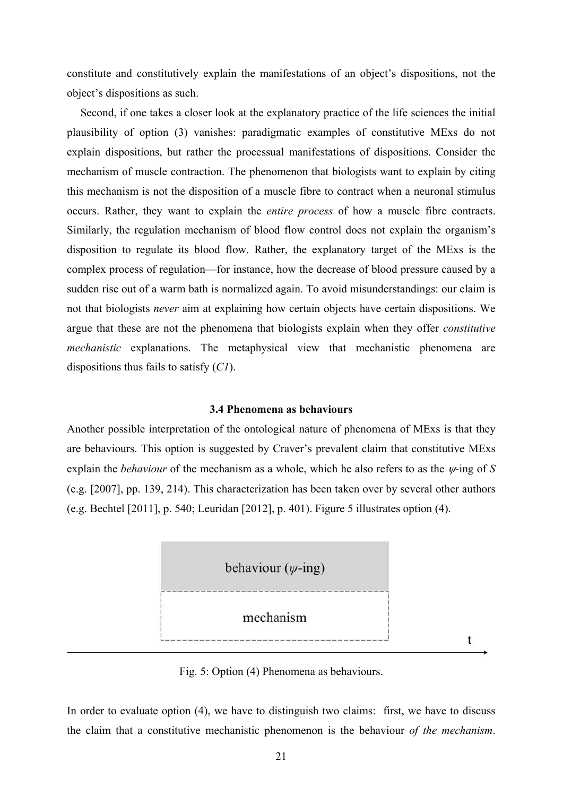constitute and constitutively explain the manifestations of an object's dispositions, not the object's dispositions as such.

Second, if one takes a closer look at the explanatory practice of the life sciences the initial plausibility of option (3) vanishes: paradigmatic examples of constitutive MExs do not explain dispositions, but rather the processual manifestations of dispositions. Consider the mechanism of muscle contraction. The phenomenon that biologists want to explain by citing this mechanism is not the disposition of a muscle fibre to contract when a neuronal stimulus occurs. Rather, they want to explain the *entire process* of how a muscle fibre contracts. Similarly, the regulation mechanism of blood flow control does not explain the organism's disposition to regulate its blood flow. Rather, the explanatory target of the MExs is the complex process of regulation—for instance, how the decrease of blood pressure caused by a sudden rise out of a warm bath is normalized again. To avoid misunderstandings: our claim is not that biologists *never* aim at explaining how certain objects have certain dispositions. We argue that these are not the phenomena that biologists explain when they offer *constitutive mechanistic* explanations. The metaphysical view that mechanistic phenomena are dispositions thus fails to satisfy (*C1*).

# **3.4 Phenomena as behaviours**

Another possible interpretation of the ontological nature of phenomena of MExs is that they are behaviours. This option is suggested by Craver's prevalent claim that constitutive MExs explain the *behaviour* of the mechanism as a whole, which he also refers to as the  $\psi$ -ing of *S* (e.g. [2007], pp. 139, 214). This characterization has been taken over by several other authors (e.g. Bechtel [2011], p. 540; Leuridan [2012], p. 401). Figure 5 illustrates option (4).



Fig. 5: Option (4) Phenomena as behaviours.

In order to evaluate option (4), we have to distinguish two claims: first, we have to discuss the claim that a constitutive mechanistic phenomenon is the behaviour *of the mechanism*.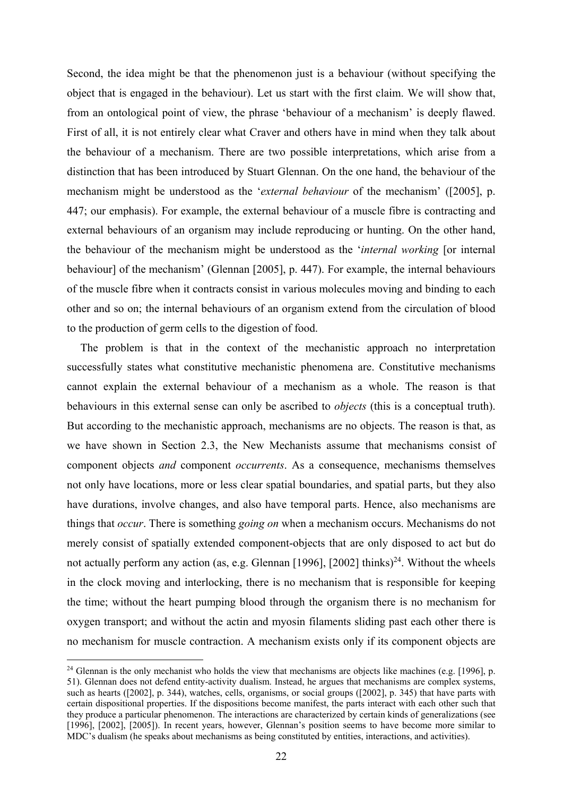Second, the idea might be that the phenomenon just is a behaviour (without specifying the object that is engaged in the behaviour). Let us start with the first claim. We will show that, from an ontological point of view, the phrase 'behaviour of a mechanism' is deeply flawed. First of all, it is not entirely clear what Craver and others have in mind when they talk about the behaviour of a mechanism. There are two possible interpretations, which arise from a distinction that has been introduced by Stuart Glennan. On the one hand, the behaviour of the mechanism might be understood as the '*external behaviour* of the mechanism' ([2005], p. 447; our emphasis). For example, the external behaviour of a muscle fibre is contracting and external behaviours of an organism may include reproducing or hunting. On the other hand, the behaviour of the mechanism might be understood as the '*internal working* [or internal behaviour] of the mechanism' (Glennan [2005], p. 447). For example, the internal behaviours of the muscle fibre when it contracts consist in various molecules moving and binding to each other and so on; the internal behaviours of an organism extend from the circulation of blood to the production of germ cells to the digestion of food.

The problem is that in the context of the mechanistic approach no interpretation successfully states what constitutive mechanistic phenomena are. Constitutive mechanisms cannot explain the external behaviour of a mechanism as a whole. The reason is that behaviours in this external sense can only be ascribed to *objects* (this is a conceptual truth). But according to the mechanistic approach, mechanisms are no objects. The reason is that, as we have shown in Section 2.3, the New Mechanists assume that mechanisms consist of component objects *and* component *occurrents*. As a consequence, mechanisms themselves not only have locations, more or less clear spatial boundaries, and spatial parts, but they also have durations, involve changes, and also have temporal parts. Hence, also mechanisms are things that *occur*. There is something *going on* when a mechanism occurs. Mechanisms do not merely consist of spatially extended component-objects that are only disposed to act but do not actually perform any action (as, e.g. Glennan [1996], [2002] thinks)<sup>24</sup>. Without the wheels in the clock moving and interlocking, there is no mechanism that is responsible for keeping the time; without the heart pumping blood through the organism there is no mechanism for oxygen transport; and without the actin and myosin filaments sliding past each other there is no mechanism for muscle contraction. A mechanism exists only if its component objects are

<u>.</u>

<sup>&</sup>lt;sup>24</sup> Glennan is the only mechanist who holds the view that mechanisms are objects like machines (e.g. [1996], p. 51). Glennan does not defend entity-activity dualism. Instead, he argues that mechanisms are complex systems, such as hearts ([2002], p. 344), watches, cells, organisms, or social groups ([2002], p. 345) that have parts with certain dispositional properties. If the dispositions become manifest, the parts interact with each other such that they produce a particular phenomenon. The interactions are characterized by certain kinds of generalizations (see [1996], [2002], [2005]). In recent years, however, Glennan's position seems to have become more similar to MDC's dualism (he speaks about mechanisms as being constituted by entities, interactions, and activities).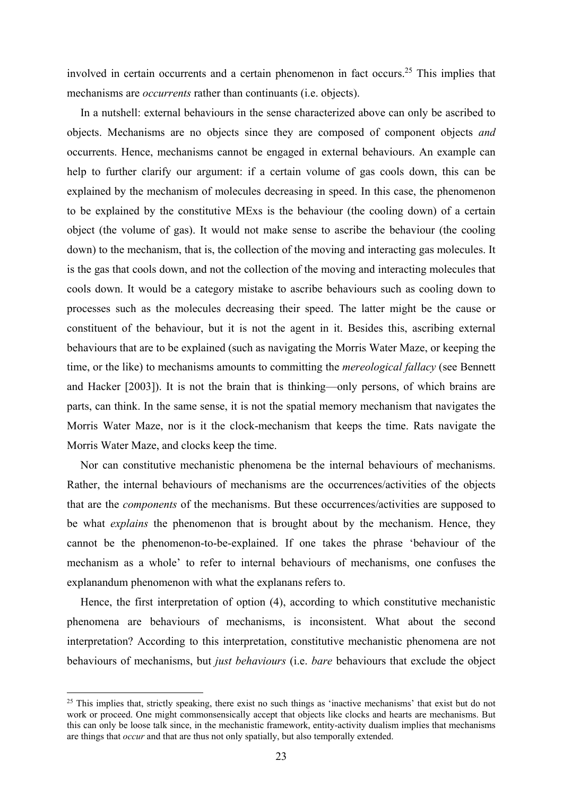involved in certain occurrents and a certain phenomenon in fact occurs.25 This implies that mechanisms are *occurrents* rather than continuants (i.e. objects).

In a nutshell: external behaviours in the sense characterized above can only be ascribed to objects. Mechanisms are no objects since they are composed of component objects *and* occurrents. Hence, mechanisms cannot be engaged in external behaviours. An example can help to further clarify our argument: if a certain volume of gas cools down, this can be explained by the mechanism of molecules decreasing in speed. In this case, the phenomenon to be explained by the constitutive MExs is the behaviour (the cooling down) of a certain object (the volume of gas). It would not make sense to ascribe the behaviour (the cooling down) to the mechanism, that is, the collection of the moving and interacting gas molecules. It is the gas that cools down, and not the collection of the moving and interacting molecules that cools down. It would be a category mistake to ascribe behaviours such as cooling down to processes such as the molecules decreasing their speed. The latter might be the cause or constituent of the behaviour, but it is not the agent in it. Besides this, ascribing external behaviours that are to be explained (such as navigating the Morris Water Maze, or keeping the time, or the like) to mechanisms amounts to committing the *mereological fallacy* (see Bennett and Hacker [2003]). It is not the brain that is thinking—only persons, of which brains are parts, can think. In the same sense, it is not the spatial memory mechanism that navigates the Morris Water Maze, nor is it the clock-mechanism that keeps the time. Rats navigate the Morris Water Maze, and clocks keep the time.

Nor can constitutive mechanistic phenomena be the internal behaviours of mechanisms. Rather, the internal behaviours of mechanisms are the occurrences/activities of the objects that are the *components* of the mechanisms. But these occurrences/activities are supposed to be what *explains* the phenomenon that is brought about by the mechanism. Hence, they cannot be the phenomenon-to-be-explained. If one takes the phrase 'behaviour of the mechanism as a whole' to refer to internal behaviours of mechanisms, one confuses the explanandum phenomenon with what the explanans refers to.

Hence, the first interpretation of option (4), according to which constitutive mechanistic phenomena are behaviours of mechanisms, is inconsistent. What about the second interpretation? According to this interpretation, constitutive mechanistic phenomena are not behaviours of mechanisms, but *just behaviours* (i.e. *bare* behaviours that exclude the object

<sup>&</sup>lt;sup>25</sup> This implies that, strictly speaking, there exist no such things as 'inactive mechanisms' that exist but do not work or proceed. One might commonsensically accept that objects like clocks and hearts are mechanisms. But this can only be loose talk since, in the mechanistic framework, entity-activity dualism implies that mechanisms are things that *occur* and that are thus not only spatially, but also temporally extended.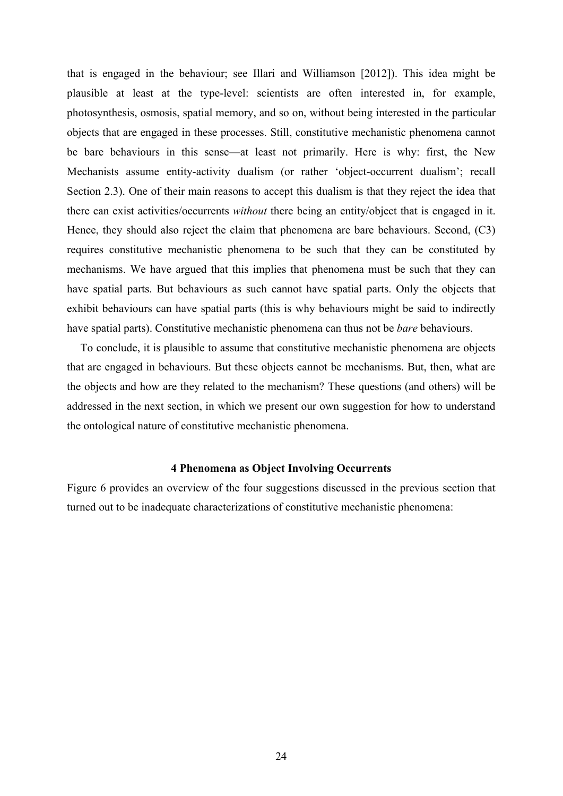that is engaged in the behaviour; see Illari and Williamson [2012]). This idea might be plausible at least at the type-level: scientists are often interested in, for example, photosynthesis, osmosis, spatial memory, and so on, without being interested in the particular objects that are engaged in these processes. Still, constitutive mechanistic phenomena cannot be bare behaviours in this sense—at least not primarily. Here is why: first, the New Mechanists assume entity-activity dualism (or rather 'object-occurrent dualism'; recall Section 2.3). One of their main reasons to accept this dualism is that they reject the idea that there can exist activities/occurrents *without* there being an entity/object that is engaged in it. Hence, they should also reject the claim that phenomena are bare behaviours. Second, (C3) requires constitutive mechanistic phenomena to be such that they can be constituted by mechanisms. We have argued that this implies that phenomena must be such that they can have spatial parts. But behaviours as such cannot have spatial parts. Only the objects that exhibit behaviours can have spatial parts (this is why behaviours might be said to indirectly have spatial parts). Constitutive mechanistic phenomena can thus not be *bare* behaviours.

To conclude, it is plausible to assume that constitutive mechanistic phenomena are objects that are engaged in behaviours. But these objects cannot be mechanisms. But, then, what are the objects and how are they related to the mechanism? These questions (and others) will be addressed in the next section, in which we present our own suggestion for how to understand the ontological nature of constitutive mechanistic phenomena.

#### **4 Phenomena as Object Involving Occurrents**

Figure 6 provides an overview of the four suggestions discussed in the previous section that turned out to be inadequate characterizations of constitutive mechanistic phenomena: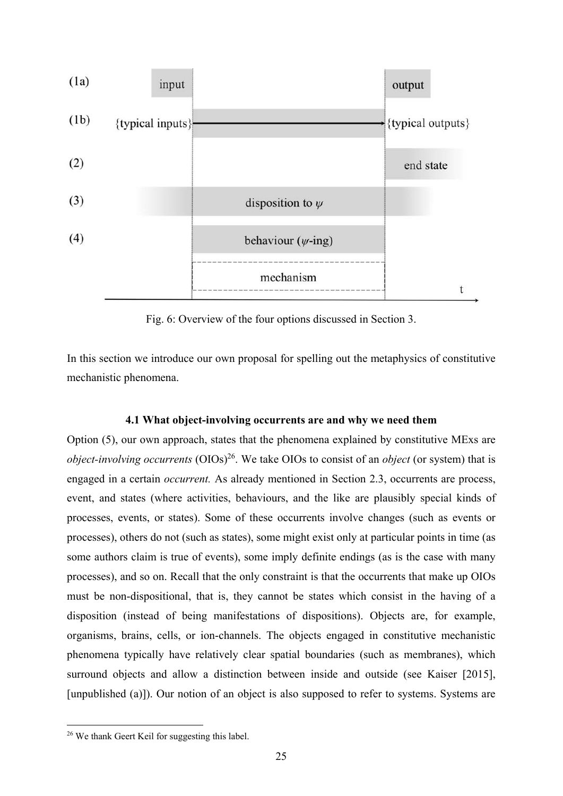

Fig. 6: Overview of the four options discussed in Section 3.

In this section we introduce our own proposal for spelling out the metaphysics of constitutive mechanistic phenomena.

## **4.1 What object-involving occurrents are and why we need them**

Option (5), our own approach, states that the phenomena explained by constitutive MExs are *obiect-involving occurrents* (OIOs)<sup>26</sup>. We take OIOs to consist of an *object* (or system) that is engaged in a certain *occurrent.* As already mentioned in Section 2.3, occurrents are process, event, and states (where activities, behaviours, and the like are plausibly special kinds of processes, events, or states). Some of these occurrents involve changes (such as events or processes), others do not (such as states), some might exist only at particular points in time (as some authors claim is true of events), some imply definite endings (as is the case with many processes), and so on. Recall that the only constraint is that the occurrents that make up OIOs must be non-dispositional, that is, they cannot be states which consist in the having of a disposition (instead of being manifestations of dispositions). Objects are, for example, organisms, brains, cells, or ion-channels. The objects engaged in constitutive mechanistic phenomena typically have relatively clear spatial boundaries (such as membranes), which surround objects and allow a distinction between inside and outside (see Kaiser [2015], [unpublished (a)]). Our notion of an object is also supposed to refer to systems. Systems are

<sup>26</sup> We thank Geert Keil for suggesting this label.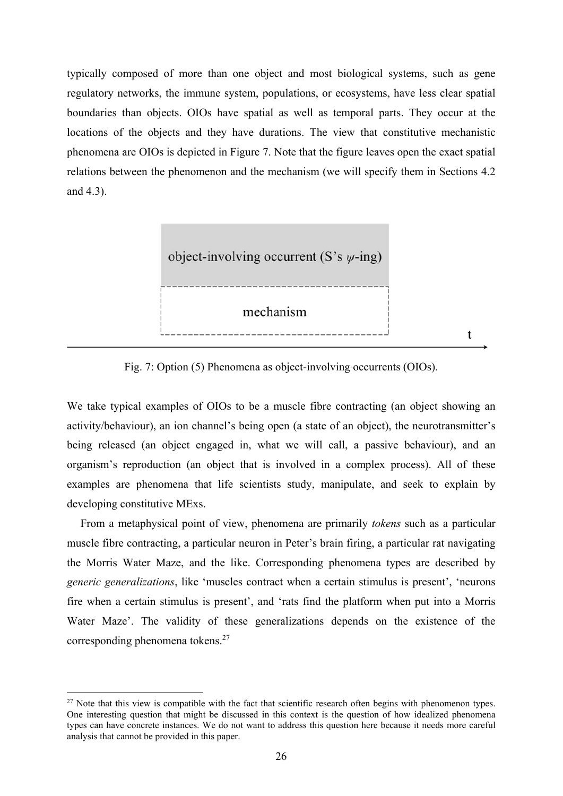typically composed of more than one object and most biological systems, such as gene regulatory networks, the immune system, populations, or ecosystems, have less clear spatial boundaries than objects. OIOs have spatial as well as temporal parts. They occur at the locations of the objects and they have durations. The view that constitutive mechanistic phenomena are OIOs is depicted in Figure 7. Note that the figure leaves open the exact spatial relations between the phenomenon and the mechanism (we will specify them in Sections 4.2 and 4.3).



Fig. 7: Option (5) Phenomena as object-involving occurrents (OIOs).

We take typical examples of OIOs to be a muscle fibre contracting (an object showing an activity/behaviour), an ion channel's being open (a state of an object), the neurotransmitter's being released (an object engaged in, what we will call, a passive behaviour), and an organism's reproduction (an object that is involved in a complex process). All of these examples are phenomena that life scientists study, manipulate, and seek to explain by developing constitutive MExs.

From a metaphysical point of view, phenomena are primarily *tokens* such as a particular muscle fibre contracting, a particular neuron in Peter's brain firing, a particular rat navigating the Morris Water Maze, and the like. Corresponding phenomena types are described by *generic generalizations*, like 'muscles contract when a certain stimulus is present', 'neurons fire when a certain stimulus is present', and 'rats find the platform when put into a Morris Water Maze'. The validity of these generalizations depends on the existence of the corresponding phenomena tokens.27

<sup>&</sup>lt;sup>27</sup> Note that this view is compatible with the fact that scientific research often begins with phenomenon types. One interesting question that might be discussed in this context is the question of how idealized phenomena types can have concrete instances. We do not want to address this question here because it needs more careful analysis that cannot be provided in this paper.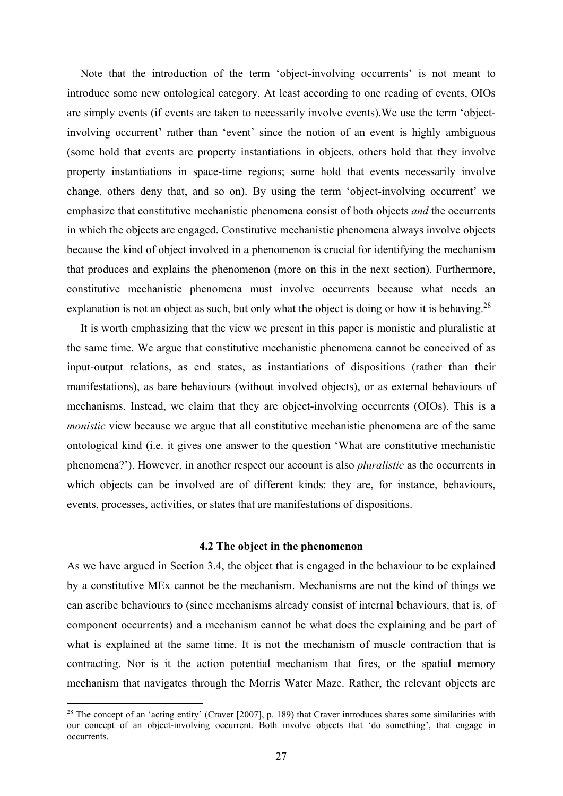Note that the introduction of the term 'object-involving occurrents' is not meant to introduce some new ontological category. At least according to one reading of events, OIOs are simply events (if events are taken to necessarily involve events).We use the term 'objectinvolving occurrent' rather than 'event' since the notion of an event is highly ambiguous (some hold that events are property instantiations in objects, others hold that they involve property instantiations in space-time regions; some hold that events necessarily involve change, others deny that, and so on). By using the term 'object-involving occurrent' we emphasize that constitutive mechanistic phenomena consist of both objects *and* the occurrents in which the objects are engaged. Constitutive mechanistic phenomena always involve objects because the kind of object involved in a phenomenon is crucial for identifying the mechanism that produces and explains the phenomenon (more on this in the next section). Furthermore, constitutive mechanistic phenomena must involve occurrents because what needs an explanation is not an object as such, but only what the object is doing or how it is behaving.<sup>28</sup>

It is worth emphasizing that the view we present in this paper is monistic and pluralistic at the same time. We argue that constitutive mechanistic phenomena cannot be conceived of as input-output relations, as end states, as instantiations of dispositions (rather than their manifestations), as bare behaviours (without involved objects), or as external behaviours of mechanisms. Instead, we claim that they are object-involving occurrents (OIOs). This is a *monistic* view because we argue that all constitutive mechanistic phenomena are of the same ontological kind (i.e. it gives one answer to the question 'What are constitutive mechanistic phenomena?'). However, in another respect our account is also *pluralistic* as the occurrents in which objects can be involved are of different kinds: they are, for instance, behaviours, events, processes, activities, or states that are manifestations of dispositions.

#### **4.2 The object in the phenomenon**

As we have argued in Section 3.4, the object that is engaged in the behaviour to be explained by a constitutive MEx cannot be the mechanism. Mechanisms are not the kind of things we can ascribe behaviours to (since mechanisms already consist of internal behaviours, that is, of component occurrents) and a mechanism cannot be what does the explaining and be part of what is explained at the same time. It is not the mechanism of muscle contraction that is contracting. Nor is it the action potential mechanism that fires, or the spatial memory mechanism that navigates through the Morris Water Maze. Rather, the relevant objects are

<sup>&</sup>lt;sup>28</sup> The concept of an 'acting entity' (Craver [2007], p. 189) that Craver introduces shares some similarities with our concept of an object-involving occurrent. Both involve objects that 'do something', that engage in occurrents.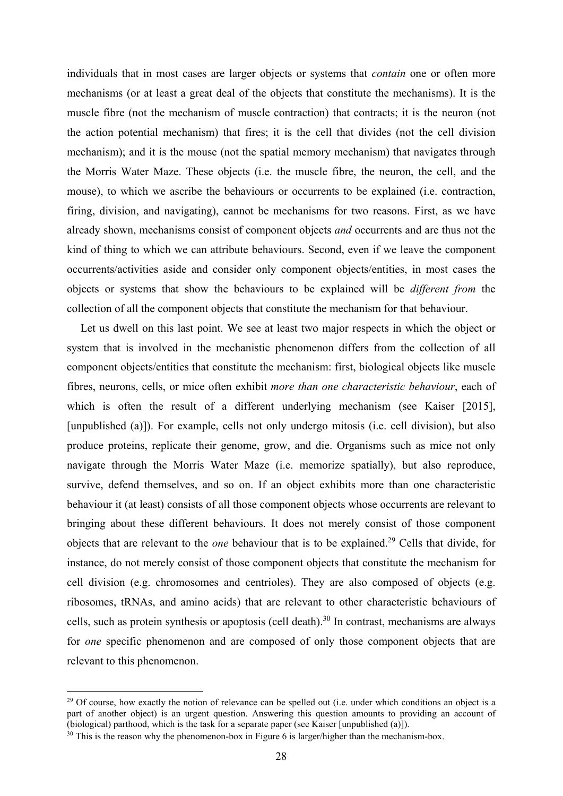individuals that in most cases are larger objects or systems that *contain* one or often more mechanisms (or at least a great deal of the objects that constitute the mechanisms). It is the muscle fibre (not the mechanism of muscle contraction) that contracts; it is the neuron (not the action potential mechanism) that fires; it is the cell that divides (not the cell division mechanism); and it is the mouse (not the spatial memory mechanism) that navigates through the Morris Water Maze. These objects (i.e. the muscle fibre, the neuron, the cell, and the mouse), to which we ascribe the behaviours or occurrents to be explained (i.e. contraction, firing, division, and navigating), cannot be mechanisms for two reasons. First, as we have already shown, mechanisms consist of component objects *and* occurrents and are thus not the kind of thing to which we can attribute behaviours. Second, even if we leave the component occurrents/activities aside and consider only component objects/entities, in most cases the objects or systems that show the behaviours to be explained will be *different from* the collection of all the component objects that constitute the mechanism for that behaviour.

Let us dwell on this last point. We see at least two major respects in which the object or system that is involved in the mechanistic phenomenon differs from the collection of all component objects/entities that constitute the mechanism: first, biological objects like muscle fibres, neurons, cells, or mice often exhibit *more than one characteristic behaviour*, each of which is often the result of a different underlying mechanism (see Kaiser [2015], [unpublished (a)]). For example, cells not only undergo mitosis (i.e. cell division), but also produce proteins, replicate their genome, grow, and die. Organisms such as mice not only navigate through the Morris Water Maze (i.e. memorize spatially), but also reproduce, survive, defend themselves, and so on. If an object exhibits more than one characteristic behaviour it (at least) consists of all those component objects whose occurrents are relevant to bringing about these different behaviours. It does not merely consist of those component objects that are relevant to the *one* behaviour that is to be explained.29 Cells that divide, for instance, do not merely consist of those component objects that constitute the mechanism for cell division (e.g. chromosomes and centrioles). They are also composed of objects (e.g. ribosomes, tRNAs, and amino acids) that are relevant to other characteristic behaviours of cells, such as protein synthesis or apoptosis (cell death).<sup>30</sup> In contrast, mechanisms are always for *one* specific phenomenon and are composed of only those component objects that are relevant to this phenomenon.

<sup>&</sup>lt;sup>29</sup> Of course, how exactly the notion of relevance can be spelled out (i.e. under which conditions an object is a part of another object) is an urgent question. Answering this question amounts to providing an account of (biological) parthood, which is the task for a separate paper (see Kaiser [unpublished (a)]).

<sup>&</sup>lt;sup>30</sup> This is the reason why the phenomenon-box in Figure 6 is larger/higher than the mechanism-box.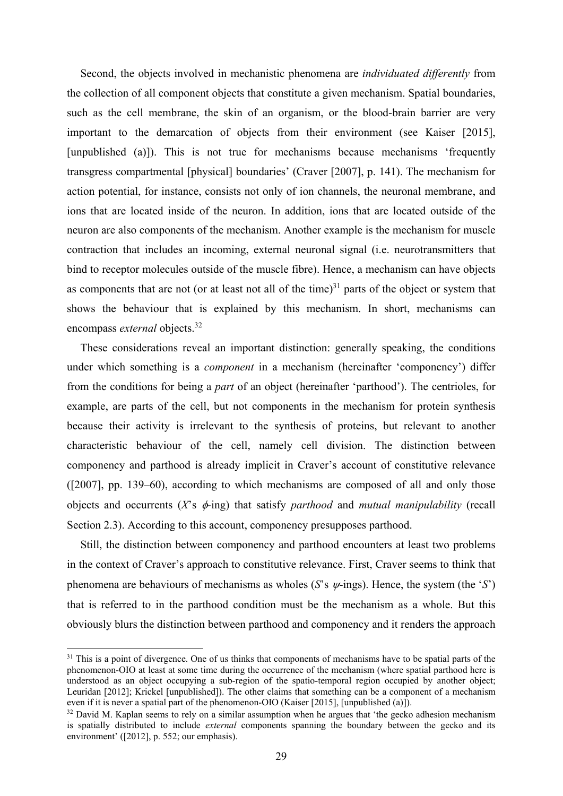Second, the objects involved in mechanistic phenomena are *individuated differently* from the collection of all component objects that constitute a given mechanism. Spatial boundaries, such as the cell membrane, the skin of an organism, or the blood-brain barrier are very important to the demarcation of objects from their environment (see Kaiser [2015], [unpublished (a)]). This is not true for mechanisms because mechanisms 'frequently transgress compartmental [physical] boundaries' (Craver [2007], p. 141). The mechanism for action potential, for instance, consists not only of ion channels, the neuronal membrane, and ions that are located inside of the neuron. In addition, ions that are located outside of the neuron are also components of the mechanism. Another example is the mechanism for muscle contraction that includes an incoming, external neuronal signal (i.e. neurotransmitters that bind to receptor molecules outside of the muscle fibre). Hence, a mechanism can have objects as components that are not (or at least not all of the time) $31$  parts of the object or system that shows the behaviour that is explained by this mechanism. In short, mechanisms can encompass *external* objects.32

These considerations reveal an important distinction: generally speaking, the conditions under which something is a *component* in a mechanism (hereinafter 'componency') differ from the conditions for being a *part* of an object (hereinafter 'parthood'). The centrioles, for example, are parts of the cell, but not components in the mechanism for protein synthesis because their activity is irrelevant to the synthesis of proteins, but relevant to another characteristic behaviour of the cell, namely cell division. The distinction between componency and parthood is already implicit in Craver's account of constitutive relevance ([2007], pp. 139–60), according to which mechanisms are composed of all and only those objects and occurrents  $(X \text{ s } \phi \text{ in } \mathbf{g})$  that satisfy *parthood* and *mutual manipulability* (recall Section 2.3). According to this account, componency presupposes parthood.

Still, the distinction between componency and parthood encounters at least two problems in the context of Craver's approach to constitutive relevance. First, Craver seems to think that phenomena are behaviours of mechanisms as wholes (*S*'s  $\psi$ -ings). Hence, the system (the '*S*') that is referred to in the parthood condition must be the mechanism as a whole. But this obviously blurs the distinction between parthood and componency and it renders the approach

 $31$  This is a point of divergence. One of us thinks that components of mechanisms have to be spatial parts of the phenomenon-OIO at least at some time during the occurrence of the mechanism (where spatial parthood here is understood as an object occupying a sub-region of the spatio-temporal region occupied by another object; Leuridan [2012]; Krickel [unpublished]). The other claims that something can be a component of a mechanism even if it is never a spatial part of the phenomenon-OIO (Kaiser [2015], [unpublished (a)]).

 $32$  David M. Kaplan seems to rely on a similar assumption when he argues that 'the gecko adhesion mechanism is spatially distributed to include *external* components spanning the boundary between the gecko and its environment' ([2012], p. 552; our emphasis).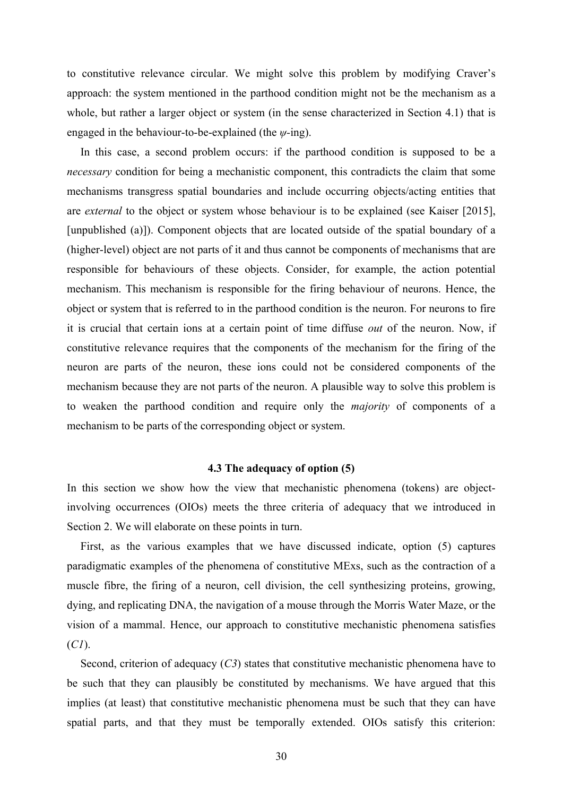to constitutive relevance circular. We might solve this problem by modifying Craver's approach: the system mentioned in the parthood condition might not be the mechanism as a whole, but rather a larger object or system (in the sense characterized in Section 4.1) that is engaged in the behaviour-to-be-explained (the *ψ-*ing).

In this case, a second problem occurs: if the parthood condition is supposed to be a *necessary* condition for being a mechanistic component, this contradicts the claim that some mechanisms transgress spatial boundaries and include occurring objects/acting entities that are *external* to the object or system whose behaviour is to be explained (see Kaiser [2015], [unpublished (a)]). Component objects that are located outside of the spatial boundary of a (higher-level) object are not parts of it and thus cannot be components of mechanisms that are responsible for behaviours of these objects. Consider, for example, the action potential mechanism. This mechanism is responsible for the firing behaviour of neurons. Hence, the object or system that is referred to in the parthood condition is the neuron. For neurons to fire it is crucial that certain ions at a certain point of time diffuse *out* of the neuron. Now, if constitutive relevance requires that the components of the mechanism for the firing of the neuron are parts of the neuron, these ions could not be considered components of the mechanism because they are not parts of the neuron. A plausible way to solve this problem is to weaken the parthood condition and require only the *majority* of components of a mechanism to be parts of the corresponding object or system.

#### **4.3 The adequacy of option (5)**

In this section we show how the view that mechanistic phenomena (tokens) are objectinvolving occurrences (OIOs) meets the three criteria of adequacy that we introduced in Section 2. We will elaborate on these points in turn.

First, as the various examples that we have discussed indicate, option (5) captures paradigmatic examples of the phenomena of constitutive MExs, such as the contraction of a muscle fibre, the firing of a neuron, cell division, the cell synthesizing proteins, growing, dying, and replicating DNA, the navigation of a mouse through the Morris Water Maze, or the vision of a mammal. Hence, our approach to constitutive mechanistic phenomena satisfies (*C1*).

Second, criterion of adequacy (*C3*) states that constitutive mechanistic phenomena have to be such that they can plausibly be constituted by mechanisms. We have argued that this implies (at least) that constitutive mechanistic phenomena must be such that they can have spatial parts, and that they must be temporally extended. OIOs satisfy this criterion: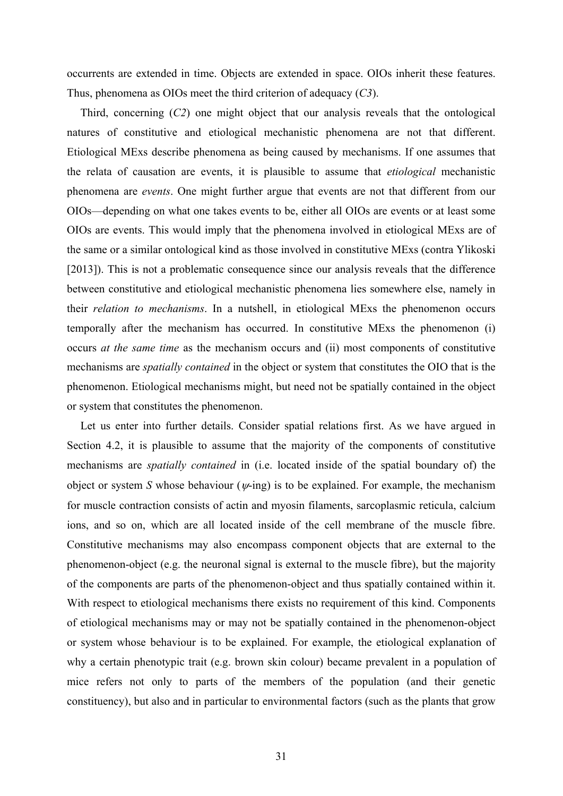occurrents are extended in time. Objects are extended in space. OIOs inherit these features. Thus, phenomena as OIOs meet the third criterion of adequacy (*C3*).

Third, concerning (*C2*) one might object that our analysis reveals that the ontological natures of constitutive and etiological mechanistic phenomena are not that different. Etiological MExs describe phenomena as being caused by mechanisms. If one assumes that the relata of causation are events, it is plausible to assume that *etiological* mechanistic phenomena are *events*. One might further argue that events are not that different from our OIOs—depending on what one takes events to be, either all OIOs are events or at least some OIOs are events. This would imply that the phenomena involved in etiological MExs are of the same or a similar ontological kind as those involved in constitutive MExs (contra Ylikoski [2013]). This is not a problematic consequence since our analysis reveals that the difference between constitutive and etiological mechanistic phenomena lies somewhere else, namely in their *relation to mechanisms*. In a nutshell, in etiological MExs the phenomenon occurs temporally after the mechanism has occurred. In constitutive MExs the phenomenon (i) occurs *at the same time* as the mechanism occurs and (ii) most components of constitutive mechanisms are *spatially contained* in the object or system that constitutes the OIO that is the phenomenon. Etiological mechanisms might, but need not be spatially contained in the object or system that constitutes the phenomenon.

Let us enter into further details. Consider spatial relations first. As we have argued in Section 4.2, it is plausible to assume that the majority of the components of constitutive mechanisms are *spatially contained* in (i.e. located inside of the spatial boundary of) the object or system *S* whose behaviour ( $\psi$ -ing) is to be explained. For example, the mechanism for muscle contraction consists of actin and myosin filaments, sarcoplasmic reticula, calcium ions, and so on, which are all located inside of the cell membrane of the muscle fibre. Constitutive mechanisms may also encompass component objects that are external to the phenomenon-object (e.g. the neuronal signal is external to the muscle fibre), but the majority of the components are parts of the phenomenon-object and thus spatially contained within it. With respect to etiological mechanisms there exists no requirement of this kind. Components of etiological mechanisms may or may not be spatially contained in the phenomenon-object or system whose behaviour is to be explained. For example, the etiological explanation of why a certain phenotypic trait (e.g. brown skin colour) became prevalent in a population of mice refers not only to parts of the members of the population (and their genetic constituency), but also and in particular to environmental factors (such as the plants that grow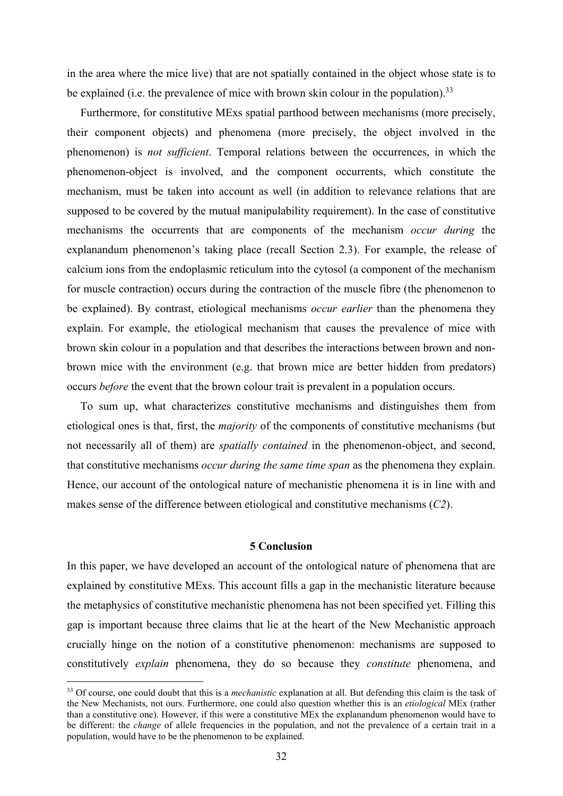in the area where the mice live) that are not spatially contained in the object whose state is to be explained (i.e. the prevalence of mice with brown skin colour in the population).<sup>33</sup>

Furthermore, for constitutive MExs spatial parthood between mechanisms (more precisely, their component objects) and phenomena (more precisely, the object involved in the phenomenon) is *not sufficient*. Temporal relations between the occurrences, in which the phenomenon-object is involved, and the component occurrents, which constitute the mechanism, must be taken into account as well (in addition to relevance relations that are supposed to be covered by the mutual manipulability requirement). In the case of constitutive mechanisms the occurrents that are components of the mechanism *occur during* the explanandum phenomenon's taking place (recall Section 2.3). For example, the release of calcium ions from the endoplasmic reticulum into the cytosol (a component of the mechanism for muscle contraction) occurs during the contraction of the muscle fibre (the phenomenon to be explained). By contrast, etiological mechanisms *occur earlier* than the phenomena they explain. For example, the etiological mechanism that causes the prevalence of mice with brown skin colour in a population and that describes the interactions between brown and nonbrown mice with the environment (e.g. that brown mice are better hidden from predators) occurs *before* the event that the brown colour trait is prevalent in a population occurs.

To sum up, what characterizes constitutive mechanisms and distinguishes them from etiological ones is that, first, the *majority* of the components of constitutive mechanisms (but not necessarily all of them) are *spatially contained* in the phenomenon-object, and second, that constitutive mechanisms *occur during the same time span* as the phenomena they explain. Hence, our account of the ontological nature of mechanistic phenomena it is in line with and makes sense of the difference between etiological and constitutive mechanisms (*C2*).

# **5 Conclusion**

In this paper, we have developed an account of the ontological nature of phenomena that are explained by constitutive MExs. This account fills a gap in the mechanistic literature because the metaphysics of constitutive mechanistic phenomena has not been specified yet. Filling this gap is important because three claims that lie at the heart of the New Mechanistic approach crucially hinge on the notion of a constitutive phenomenon: mechanisms are supposed to constitutively *explain* phenomena, they do so because they *constitute* phenomena, and

<sup>33</sup> Of course, one could doubt that this is a *mechanistic* explanation at all. But defending this claim is the task of the New Mechanists, not ours. Furthermore, one could also question whether this is an *etiological* MEx (rather than a constitutive one). However, if this were a constitutive MEx the explanandum phenomenon would have to be different: the *change* of allele frequencies in the population, and not the prevalence of a certain trait in a population, would have to be the phenomenon to be explained.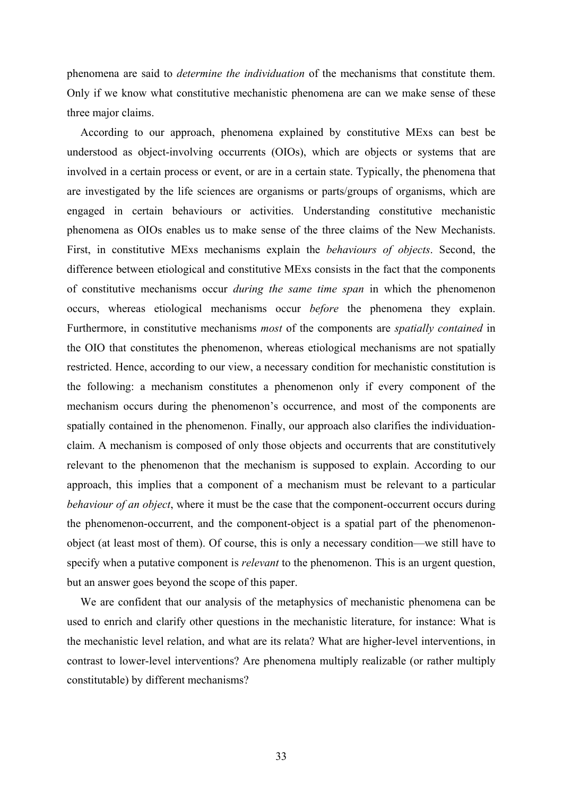phenomena are said to *determine the individuation* of the mechanisms that constitute them. Only if we know what constitutive mechanistic phenomena are can we make sense of these three major claims.

According to our approach, phenomena explained by constitutive MExs can best be understood as object-involving occurrents (OIOs), which are objects or systems that are involved in a certain process or event, or are in a certain state. Typically, the phenomena that are investigated by the life sciences are organisms or parts/groups of organisms, which are engaged in certain behaviours or activities. Understanding constitutive mechanistic phenomena as OIOs enables us to make sense of the three claims of the New Mechanists. First, in constitutive MExs mechanisms explain the *behaviours of objects*. Second, the difference between etiological and constitutive MExs consists in the fact that the components of constitutive mechanisms occur *during the same time span* in which the phenomenon occurs, whereas etiological mechanisms occur *before* the phenomena they explain. Furthermore, in constitutive mechanisms *most* of the components are *spatially contained* in the OIO that constitutes the phenomenon, whereas etiological mechanisms are not spatially restricted. Hence, according to our view, a necessary condition for mechanistic constitution is the following: a mechanism constitutes a phenomenon only if every component of the mechanism occurs during the phenomenon's occurrence, and most of the components are spatially contained in the phenomenon. Finally, our approach also clarifies the individuationclaim. A mechanism is composed of only those objects and occurrents that are constitutively relevant to the phenomenon that the mechanism is supposed to explain. According to our approach, this implies that a component of a mechanism must be relevant to a particular *behaviour of an object*, where it must be the case that the component-occurrent occurs during the phenomenon-occurrent, and the component-object is a spatial part of the phenomenonobject (at least most of them). Of course, this is only a necessary condition—we still have to specify when a putative component is *relevant* to the phenomenon. This is an urgent question, but an answer goes beyond the scope of this paper.

We are confident that our analysis of the metaphysics of mechanistic phenomena can be used to enrich and clarify other questions in the mechanistic literature, for instance: What is the mechanistic level relation, and what are its relata? What are higher-level interventions, in contrast to lower-level interventions? Are phenomena multiply realizable (or rather multiply constitutable) by different mechanisms?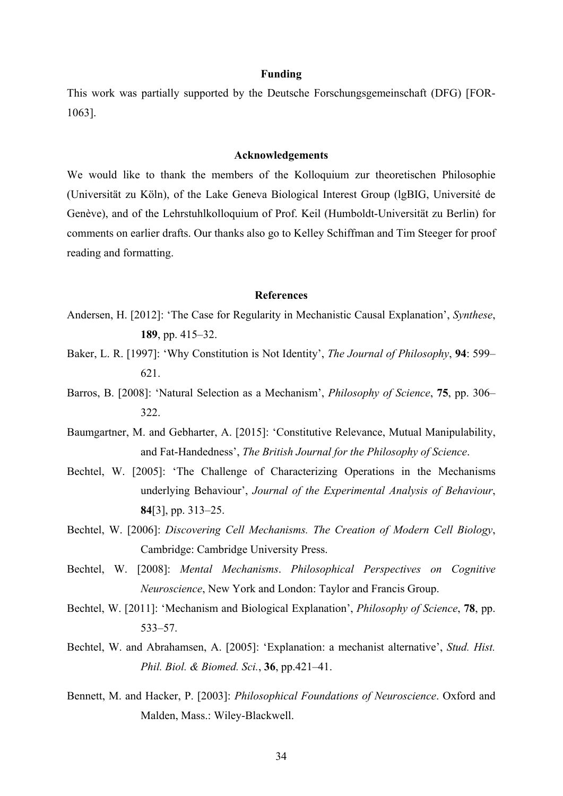#### **Funding**

This work was partially supported by the Deutsche Forschungsgemeinschaft (DFG) [FOR-1063].

#### **Acknowledgements**

We would like to thank the members of the Kolloquium zur theoretischen Philosophie (Universität zu Köln), of the Lake Geneva Biological Interest Group (lgBIG, Université de Genève), and of the Lehrstuhlkolloquium of Prof. Keil (Humboldt-Universität zu Berlin) for comments on earlier drafts. Our thanks also go to Kelley Schiffman and Tim Steeger for proof reading and formatting.

#### **References**

- Andersen, H. [2012]: 'The Case for Regularity in Mechanistic Causal Explanation', *Synthese*, **189**, pp. 415–32.
- Baker, L. R. [1997]: 'Why Constitution is Not Identity', *The Journal of Philosophy*, **94**: 599– 621.
- Barros, B. [2008]: 'Natural Selection as a Mechanism', *Philosophy of Science*, **75**, pp. 306– 322.
- Baumgartner, M. and Gebharter, A. [2015]: 'Constitutive Relevance, Mutual Manipulability, and Fat-Handedness', *The British Journal for the Philosophy of Science*.
- Bechtel, W. [2005]: 'The Challenge of Characterizing Operations in the Mechanisms underlying Behaviour', *Journal of the Experimental Analysis of Behaviour*, **84**[3], pp. 313–25.
- Bechtel, W. [2006]: *Discovering Cell Mechanisms. The Creation of Modern Cell Biology*, Cambridge: Cambridge University Press.
- Bechtel, W. [2008]: *Mental Mechanisms*. *Philosophical Perspectives on Cognitive Neuroscience*, New York and London: Taylor and Francis Group.
- Bechtel, W. [2011]: 'Mechanism and Biological Explanation', *Philosophy of Science*, **78**, pp. 533–57.
- Bechtel, W. and Abrahamsen, A. [2005]: 'Explanation: a mechanist alternative', *Stud. Hist. Phil. Biol. & Biomed. Sci.*, **36**, pp.421–41.
- Bennett, M. and Hacker, P. [2003]: *Philosophical Foundations of Neuroscience*. Oxford and Malden, Mass.: Wiley-Blackwell.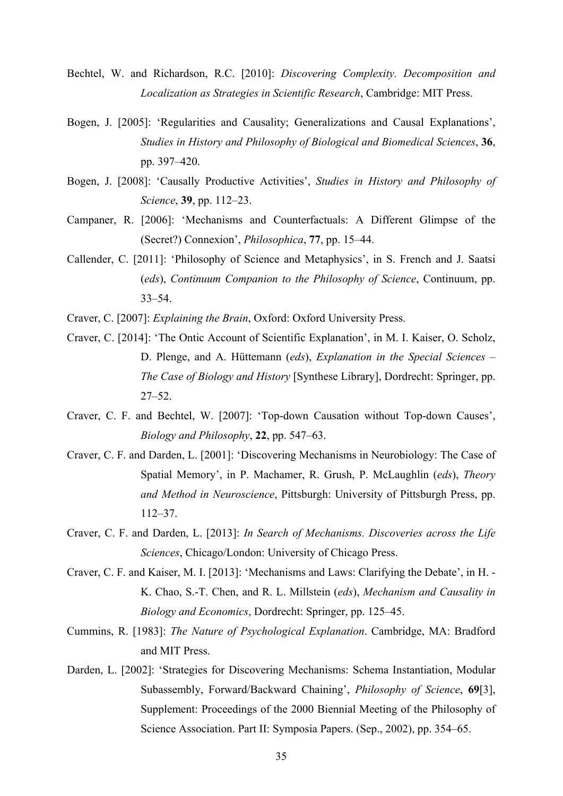- Bechtel, W. and Richardson, R.C. [2010]: *Discovering Complexity. Decomposition and Localization as Strategies in Scientific Research*, Cambridge: MIT Press.
- Bogen, J. [2005]: 'Regularities and Causality; Generalizations and Causal Explanations', *Studies in History and Philosophy of Biological and Biomedical Sciences*, **36**, pp. 397–420.
- Bogen, J. [2008]: 'Causally Productive Activities', *Studies in History and Philosophy of Science*, **39**, pp. 112–23.
- Campaner, R. [2006]: 'Mechanisms and Counterfactuals: A Different Glimpse of the (Secret?) Connexion', *Philosophica*, **77**, pp. 15–44.
- Callender, C. [2011]: 'Philosophy of Science and Metaphysics', in S. French and J. Saatsi (*eds*), *Continuum Companion to the Philosophy of Science*, Continuum, pp. 33–54.
- Craver, C. [2007]: *Explaining the Brain*, Oxford: Oxford University Press.
- Craver, C. [2014]: 'The Ontic Account of Scientific Explanation', in M. I. Kaiser, O. Scholz, D. Plenge, and A. Hüttemann (*eds*), *Explanation in the Special Sciences – The Case of Biology and History* [Synthese Library], Dordrecht: Springer, pp. 27–52.
- Craver, C. F. and Bechtel, W. [2007]: 'Top-down Causation without Top-down Causes', *Biology and Philosophy*, **22**, pp. 547–63.
- Craver, C. F. and Darden, L. [2001]: 'Discovering Mechanisms in Neurobiology: The Case of Spatial Memory', in P. Machamer, R. Grush, P. McLaughlin (*eds*), *Theory and Method in Neuroscience*, Pittsburgh: University of Pittsburgh Press, pp. 112–37.
- Craver, C. F. and Darden, L. [2013]: *In Search of Mechanisms. Discoveries across the Life Sciences*, Chicago/London: University of Chicago Press.
- Craver, C. F. and Kaiser, M. I. [2013]: 'Mechanisms and Laws: Clarifying the Debate', in H. K. Chao, S.-T. Chen, and R. L. Millstein (*eds*), *Mechanism and Causality in Biology and Economics*, Dordrecht: Springer, pp. 125–45.
- Cummins, R. [1983]: *The Nature of Psychological Explanation*. Cambridge, MA: Bradford and MIT Press.
- Darden, L. [2002]: 'Strategies for Discovering Mechanisms: Schema Instantiation, Modular Subassembly, Forward/Backward Chaining', *Philosophy of Science*, **69**[3], Supplement: Proceedings of the 2000 Biennial Meeting of the Philosophy of Science Association. Part II: Symposia Papers. (Sep., 2002), pp. 354–65.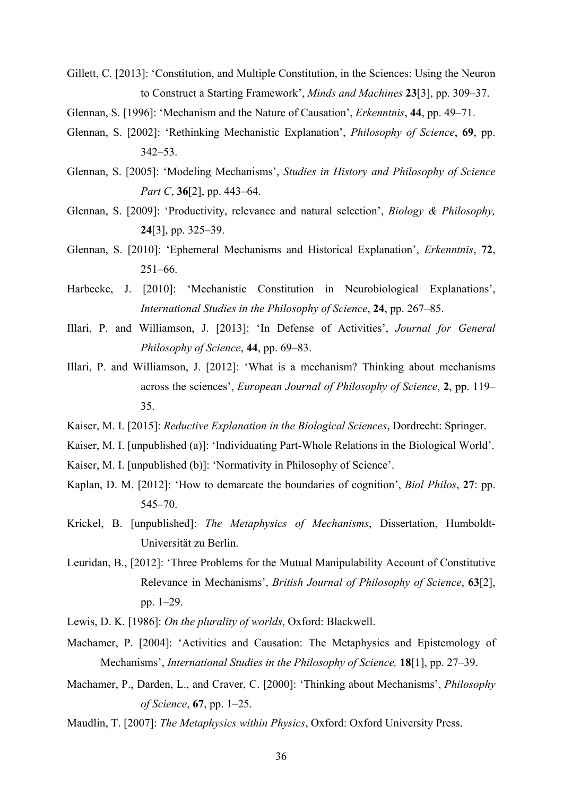- Gillett, C. [2013]: 'Constitution, and Multiple Constitution, in the Sciences: Using the Neuron to Construct a Starting Framework', *Minds and Machines* **23**[3], pp. 309–37.
- Glennan, S. [1996]: 'Mechanism and the Nature of Causation', *Erkenntnis*, **44**, pp. 49–71.
- Glennan, S. [2002]: 'Rethinking Mechanistic Explanation', *Philosophy of Science*, **69**, pp. 342–53.
- Glennan, S. [2005]: 'Modeling Mechanisms', *Studies in History and Philosophy of Science Part C*, **36**[2], pp. 443–64.
- Glennan, S. [2009]: 'Productivity, relevance and natural selection', *Biology & Philosophy,* **24**[3], pp. 325–39.
- Glennan, S. [2010]: 'Ephemeral Mechanisms and Historical Explanation', *Erkenntnis*, **72**, 251–66.
- Harbecke, J. [2010]: 'Mechanistic Constitution in Neurobiological Explanations', *International Studies in the Philosophy of Science*, **24**, pp. 267–85.
- Illari, P. and Williamson, J. [2013]: 'In Defense of Activities', *Journal for General Philosophy of Science*, **44**, pp. 69–83.
- Illari, P. and Williamson, J. [2012]: 'What is a mechanism? Thinking about mechanisms across the sciences', *European Journal of Philosophy of Science*, **2**, pp. 119– 35.
- Kaiser, M. I. [2015]: *Reductive Explanation in the Biological Sciences*, Dordrecht: Springer.
- Kaiser, M. I. [unpublished (a)]: 'Individuating Part-Whole Relations in the Biological World'.
- Kaiser, M. I. [unpublished (b)]: 'Normativity in Philosophy of Science'.
- Kaplan, D. M. [2012]: 'How to demarcate the boundaries of cognition', *Biol Philos*, **27**: pp. 545–70.
- Krickel, B. [unpublished]: *The Metaphysics of Mechanisms*, Dissertation, Humboldt-Universität zu Berlin.
- Leuridan, B., [2012]: 'Three Problems for the Mutual Manipulability Account of Constitutive Relevance in Mechanisms', *British Journal of Philosophy of Science*, **63**[2], pp. 1–29.
- Lewis, D. K. [1986]: *On the plurality of worlds*, Oxford: Blackwell.
- Machamer, P. [2004]: 'Activities and Causation: The Metaphysics and Epistemology of Mechanisms', *International Studies in the Philosophy of Science,* **18**[1], pp. 27–39.
- Machamer, P., Darden, L., and Craver, C. [2000]: 'Thinking about Mechanisms', *Philosophy of Science*, **67**, pp. 1–25.
- Maudlin, T. [2007]: *The Metaphysics within Physics*, Oxford: Oxford University Press.